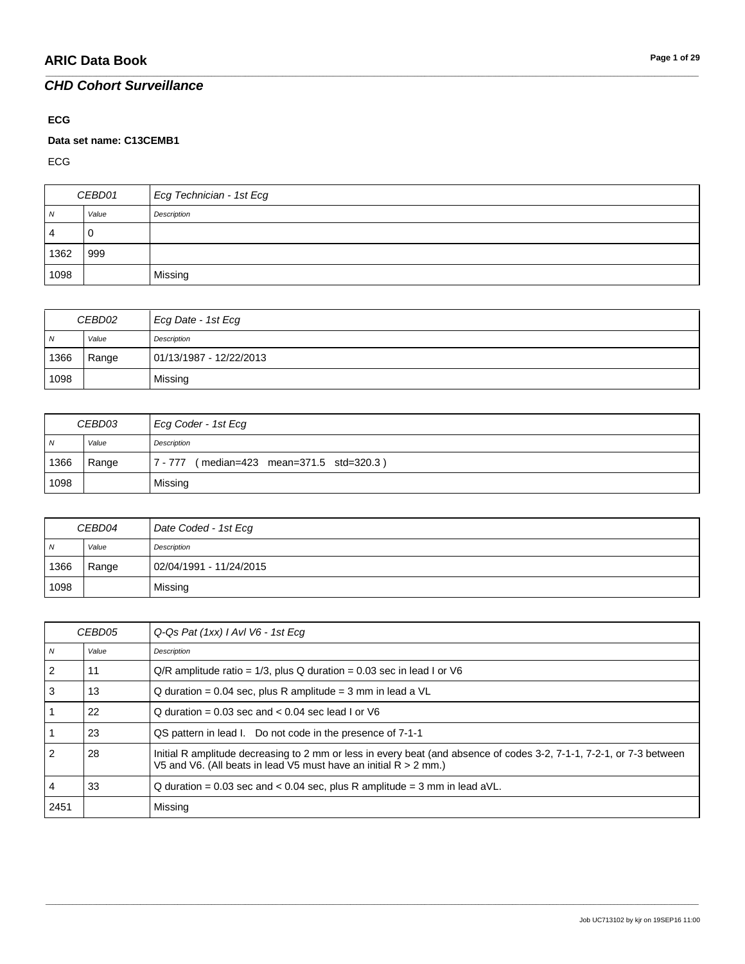#### **ECG**

#### **Data set name: C13CEMB1**

ECG

| CEBD01 |       | Ecg Technician - 1st Ecg |
|--------|-------|--------------------------|
| N      | Value | Description              |
| 4      | ັບ    |                          |
| 1362   | 999   |                          |
| 1098   |       | Missing                  |

\_\_\_\_\_\_\_\_\_\_\_\_\_\_\_\_\_\_\_\_\_\_\_\_\_\_\_\_\_\_\_\_\_\_\_\_\_\_\_\_\_\_\_\_\_\_\_\_\_\_\_\_\_\_\_\_\_\_\_\_\_\_\_\_\_\_\_\_\_\_\_\_\_\_\_\_\_\_\_\_\_\_\_\_\_\_\_\_\_\_\_\_\_\_\_\_\_\_\_\_\_\_\_\_\_\_\_\_\_\_\_\_\_\_\_\_\_\_\_\_\_\_\_\_\_\_\_\_\_\_\_\_\_\_\_\_\_\_\_\_\_\_\_\_\_\_\_\_\_\_\_\_\_\_\_\_\_\_\_\_\_\_\_\_\_\_\_\_\_\_\_\_\_\_\_\_\_\_\_\_\_\_\_\_\_\_\_\_\_\_\_\_\_

| CEBD02         |       | Ecg Date - 1st Ecg      |
|----------------|-------|-------------------------|
| $\overline{N}$ | Value | Description             |
| 1366           | Range | 01/13/1987 - 12/22/2013 |
| 1098           |       | Missing                 |

| CEBD03 |       | Ecg Coder - 1st Ecg                       |
|--------|-------|-------------------------------------------|
| N      | Value | Description                               |
| 1366   | Range | 7 - 777 (median=423 mean=371.5 std=320.3) |
| 1098   |       | Missing                                   |

| CEBD04 |       | Date Coded - 1st Ecg    |
|--------|-------|-------------------------|
| N      | Value | Description             |
| 1366   | Range | 02/04/1991 - 11/24/2015 |
| 1098   |       | Missing                 |

| CEBD05         |       | Q-Qs Pat (1xx) I AvI V6 - 1st Ecq                                                                                                                                                          |
|----------------|-------|--------------------------------------------------------------------------------------------------------------------------------------------------------------------------------------------|
| $\overline{N}$ | Value | Description                                                                                                                                                                                |
| 2              | 11    | $Q/R$ amplitude ratio = 1/3, plus Q duration = 0.03 sec in lead I or V6                                                                                                                    |
| 3              | 13    | $Q$ duration = 0.04 sec, plus R amplitude = 3 mm in lead a $VL$                                                                                                                            |
|                | 22    | Q duration = $0.03$ sec and < $0.04$ sec lead I or V6                                                                                                                                      |
|                | 23    | QS pattern in lead I. Do not code in the presence of 7-1-1                                                                                                                                 |
| 2              | 28    | Initial R amplitude decreasing to 2 mm or less in every beat (and absence of codes 3-2, 7-1-1, 7-2-1, or 7-3 between<br>V5 and V6. (All beats in lead V5 must have an initial $R > 2$ mm.) |
| 4              | 33    | Q duration = $0.03$ sec and < $0.04$ sec, plus R amplitude = 3 mm in lead aVL.                                                                                                             |
| 2451           |       | Missing                                                                                                                                                                                    |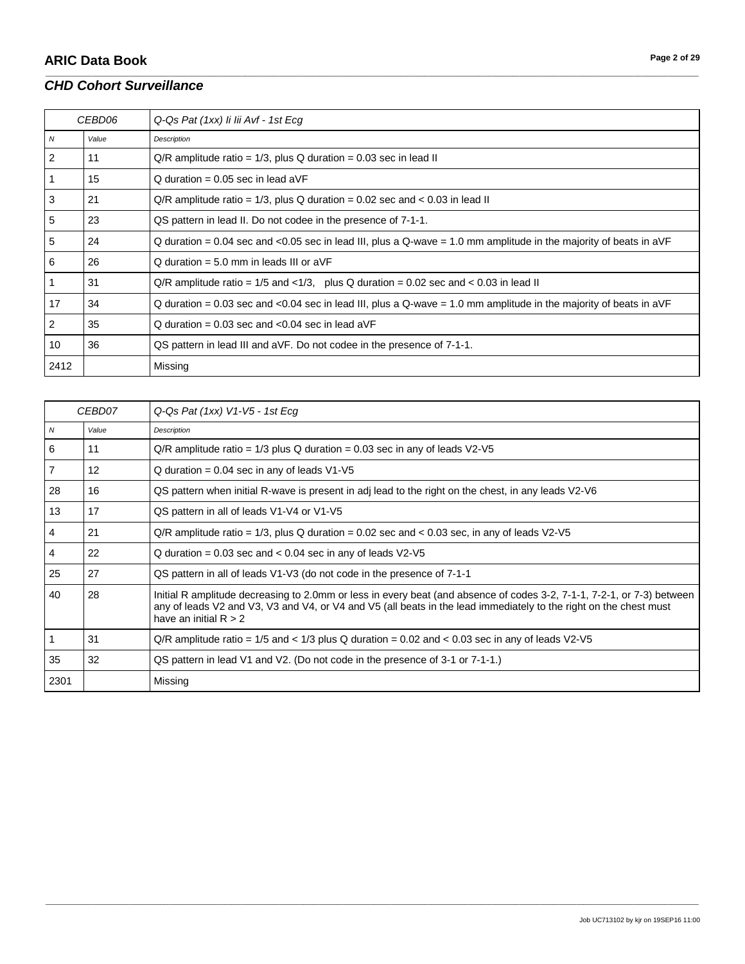|                | CEBD06 | Q-Qs Pat (1xx) li lii Avf - 1st Ecg                                                                               |
|----------------|--------|-------------------------------------------------------------------------------------------------------------------|
| $\overline{N}$ | Value  | Description                                                                                                       |
| 2              | 11     | $Q/R$ amplitude ratio = 1/3, plus Q duration = 0.03 sec in lead II                                                |
|                | 15     | Q duration = $0.05$ sec in lead aVF                                                                               |
| 3              | 21     | $Q/R$ amplitude ratio = 1/3, plus Q duration = 0.02 sec and < 0.03 in lead II                                     |
| 5              | 23     | QS pattern in lead II. Do not codee in the presence of 7-1-1.                                                     |
| 5              | 24     | Q duration = 0.04 sec and <0.05 sec in lead III, plus a Q-wave = 1.0 mm amplitude in the majority of beats in aVF |
| 6              | 26     | $Q$ duration = 5.0 mm in leads III or aVF                                                                         |
|                | 31     | $Q/R$ amplitude ratio = 1/5 and <1/3, plus Q duration = 0.02 sec and < 0.03 in lead II                            |
| 17             | 34     | Q duration = 0.03 sec and <0.04 sec in lead III, plus a Q-wave = 1.0 mm amplitude in the majority of beats in aVF |
| 2              | 35     | Q duration = $0.03$ sec and < $0.04$ sec in lead aVF                                                              |
| 10             | 36     | QS pattern in lead III and aVF. Do not codee in the presence of 7-1-1.                                            |
| 2412           |        | Missing                                                                                                           |

\_\_\_\_\_\_\_\_\_\_\_\_\_\_\_\_\_\_\_\_\_\_\_\_\_\_\_\_\_\_\_\_\_\_\_\_\_\_\_\_\_\_\_\_\_\_\_\_\_\_\_\_\_\_\_\_\_\_\_\_\_\_\_\_\_\_\_\_\_\_\_\_\_\_\_\_\_\_\_\_\_\_\_\_\_\_\_\_\_\_\_\_\_\_\_\_\_\_\_\_\_\_\_\_\_\_\_\_\_\_\_\_\_\_\_\_\_\_\_\_\_\_\_\_\_\_\_\_\_\_\_\_\_\_\_\_\_\_\_\_\_\_\_\_\_\_\_\_\_\_\_\_\_\_\_\_\_\_\_\_\_\_\_\_\_\_\_\_\_\_\_\_\_\_\_\_\_\_\_\_\_\_\_\_\_\_\_\_\_\_\_\_\_

|      | CEBD07            | Q-Qs Pat (1xx) V1-V5 - 1st Ecg                                                                                                                                                                                                                                         |
|------|-------------------|------------------------------------------------------------------------------------------------------------------------------------------------------------------------------------------------------------------------------------------------------------------------|
| N    | Value             | Description                                                                                                                                                                                                                                                            |
| 6    | 11                | $Q/R$ amplitude ratio = 1/3 plus Q duration = 0.03 sec in any of leads $V2-V5$                                                                                                                                                                                         |
| 7    | $12 \overline{ }$ | $Q$ duration = 0.04 sec in any of leads $V1-V5$                                                                                                                                                                                                                        |
| 28   | 16                | QS pattern when initial R-wave is present in adj lead to the right on the chest, in any leads V2-V6                                                                                                                                                                    |
| 13   | 17                | QS pattern in all of leads V1-V4 or V1-V5                                                                                                                                                                                                                              |
| 4    | 21                | $Q/R$ amplitude ratio = 1/3, plus Q duration = 0.02 sec and < 0.03 sec, in any of leads V2-V5                                                                                                                                                                          |
| 4    | 22                | Q duration = $0.03$ sec and < $0.04$ sec in any of leads $V2-V5$                                                                                                                                                                                                       |
| 25   | 27                | QS pattern in all of leads V1-V3 (do not code in the presence of 7-1-1                                                                                                                                                                                                 |
| 40   | 28                | Initial R amplitude decreasing to 2.0mm or less in every beat (and absence of codes 3-2, 7-1-1, 7-2-1, or 7-3) between<br>any of leads V2 and V3, V3 and V4, or V4 and V5 (all beats in the lead immediately to the right on the chest must<br>have an initial $R > 2$ |
|      | 31                | $Q/R$ amplitude ratio = 1/5 and < 1/3 plus Q duration = 0.02 and < 0.03 sec in any of leads V2-V5                                                                                                                                                                      |
| 35   | 32                | QS pattern in lead V1 and V2. (Do not code in the presence of 3-1 or 7-1-1.)                                                                                                                                                                                           |
| 2301 |                   | Missing                                                                                                                                                                                                                                                                |

\_\_\_\_\_\_\_\_\_\_\_\_\_\_\_\_\_\_\_\_\_\_\_\_\_\_\_\_\_\_\_\_\_\_\_\_\_\_\_\_\_\_\_\_\_\_\_\_\_\_\_\_\_\_\_\_\_\_\_\_\_\_\_\_\_\_\_\_\_\_\_\_\_\_\_\_\_\_\_\_\_\_\_\_\_\_\_\_\_\_\_\_\_\_\_\_\_\_\_\_\_\_\_\_\_\_\_\_\_\_\_\_\_\_\_\_\_\_\_\_\_\_\_\_\_\_\_\_\_\_\_\_\_\_\_\_\_\_\_\_\_\_\_\_\_\_\_\_\_\_\_\_\_\_\_\_\_\_\_\_\_\_\_\_\_\_\_\_\_\_\_\_\_\_\_\_\_\_\_\_\_\_\_\_\_\_\_\_\_\_\_\_\_

Job UC713102 by kjr on 19SEP16 11:00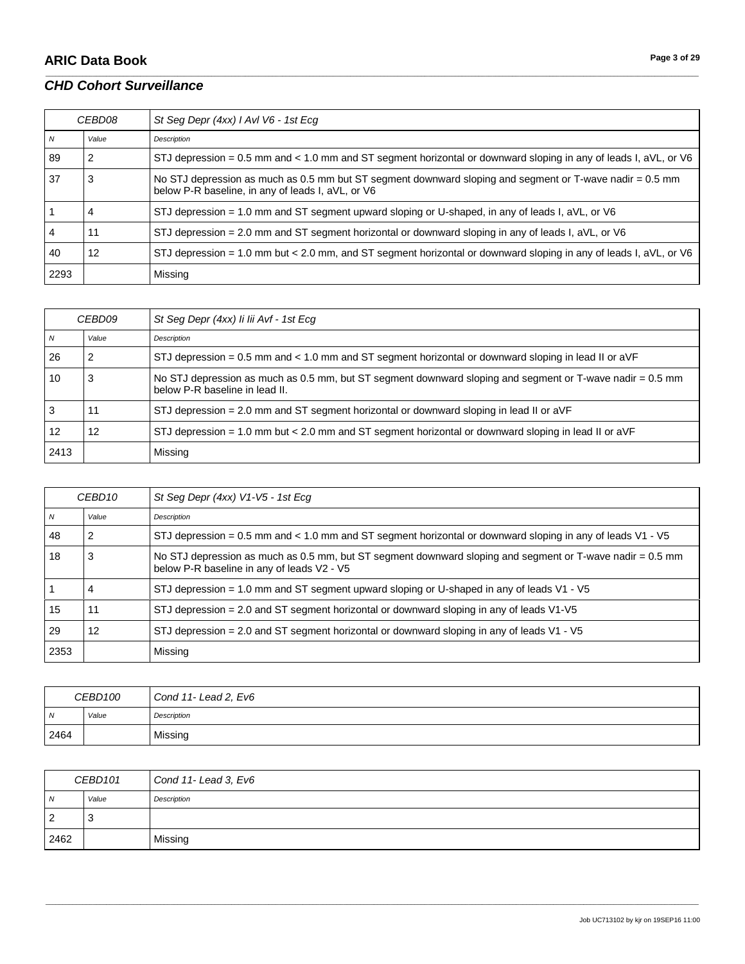# **ARIC Data Book Page 3 of 29**

### *CHD Cohort Surveillance*

| CEBD08 |       | St Seg Depr (4xx) I AvI V6 - 1st Ecg                                                                                                                          |
|--------|-------|---------------------------------------------------------------------------------------------------------------------------------------------------------------|
| N      | Value | Description                                                                                                                                                   |
| 89     |       | STJ depression = 0.5 mm and < 1.0 mm and ST segment horizontal or downward sloping in any of leads I, aVL, or V6                                              |
| 37     | 3     | No STJ depression as much as 0.5 mm but ST segment downward sloping and segment or T-wave nadir = 0.5 mm<br>below P-R baseline, in any of leads I, aVL, or V6 |
|        |       | STJ depression = 1.0 mm and ST segment upward sloping or U-shaped, in any of leads I, $aVL$ , or V6                                                           |
| 4      | 11    | STJ depression = 2.0 mm and ST segment horizontal or downward sloping in any of leads I, aVL, or V6                                                           |
| 40     | 12    | STJ depression = 1.0 mm but < 2.0 mm, and ST segment horizontal or downward sloping in any of leads I, aVL, or V6                                             |
| 2293   |       | Missing                                                                                                                                                       |

\_\_\_\_\_\_\_\_\_\_\_\_\_\_\_\_\_\_\_\_\_\_\_\_\_\_\_\_\_\_\_\_\_\_\_\_\_\_\_\_\_\_\_\_\_\_\_\_\_\_\_\_\_\_\_\_\_\_\_\_\_\_\_\_\_\_\_\_\_\_\_\_\_\_\_\_\_\_\_\_\_\_\_\_\_\_\_\_\_\_\_\_\_\_\_\_\_\_\_\_\_\_\_\_\_\_\_\_\_\_\_\_\_\_\_\_\_\_\_\_\_\_\_\_\_\_\_\_\_\_\_\_\_\_\_\_\_\_\_\_\_\_\_\_\_\_\_\_\_\_\_\_\_\_\_\_\_\_\_\_\_\_\_\_\_\_\_\_\_\_\_\_\_\_\_\_\_\_\_\_\_\_\_\_\_\_\_\_\_\_\_\_\_

| <i>CEBD09</i> |       | St Seg Depr (4xx) li lii Avf - 1st Ecg                                                                                                      |
|---------------|-------|---------------------------------------------------------------------------------------------------------------------------------------------|
|               | Value | Description                                                                                                                                 |
| 26            |       | STJ depression = 0.5 mm and < 1.0 mm and ST segment horizontal or downward sloping in lead II or $aVF$                                      |
| 10            |       | No STJ depression as much as 0.5 mm, but ST segment downward sloping and segment or T-wave nadir = 0.5 mm<br>below P-R baseline in lead II. |
| 3             | 11    | STJ depression = 2.0 mm and ST segment horizontal or downward sloping in lead II or aVF                                                     |
| 12            | 12    | STJ depression = 1.0 mm but < 2.0 mm and ST segment horizontal or downward sloping in lead II or $aVF$                                      |
| 2413          |       | Missing                                                                                                                                     |

| CEBD <sub>10</sub> |       | St Seg Depr (4xx) V1-V5 - 1st Ecg                                                                                                                       |
|--------------------|-------|---------------------------------------------------------------------------------------------------------------------------------------------------------|
| $\overline{N}$     | Value | Description                                                                                                                                             |
| 48                 | 2     | STJ depression = 0.5 mm and < 1.0 mm and ST segment horizontal or downward sloping in any of leads $V1 - V5$                                            |
| 18                 | 3     | No STJ depression as much as 0.5 mm, but ST segment downward sloping and segment or T-wave nadir = 0.5 mm<br>below P-R baseline in any of leads V2 - V5 |
|                    | 4     | STJ depression = 1.0 mm and ST segment upward sloping or U-shaped in any of leads $V1 - V5$                                                             |
| 15                 | 11    | STJ depression $= 2.0$ and ST segment horizontal or downward sloping in any of leads $V1-V5$                                                            |
| -29                | 12    | STJ depression = 2.0 and ST segment horizontal or downward sloping in any of leads V1 - V5                                                              |
| 2353               |       | Missing                                                                                                                                                 |

| CEBD100        |       | Cond 11- Lead 2, Ev6 |
|----------------|-------|----------------------|
| $\overline{M}$ | Value | Description          |
| 2464           |       | Missing              |

| CEBD101        |       | Cond 11- Lead 3, Ev6 |
|----------------|-------|----------------------|
| $\overline{N}$ | Value | Description          |
| $\overline{2}$ | 3     |                      |
| 2462           |       | Missing              |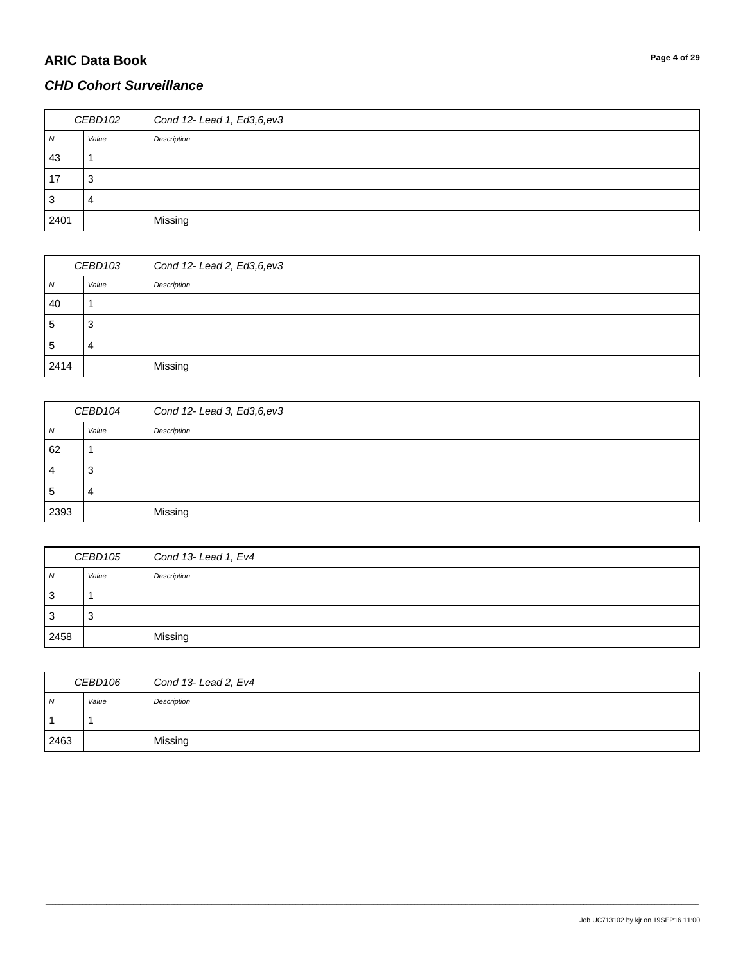# **ARIC Data Book Page 4 of 29**

### *CHD Cohort Surveillance*

| CEBD102 |       | Cond 12- Lead 1, Ed3,6,ev3 |
|---------|-------|----------------------------|
| 1V      | Value | Description                |
| 43      |       |                            |
| 17      | 3     |                            |
| 3       | 4     |                            |
| 2401    |       | Missing                    |

\_\_\_\_\_\_\_\_\_\_\_\_\_\_\_\_\_\_\_\_\_\_\_\_\_\_\_\_\_\_\_\_\_\_\_\_\_\_\_\_\_\_\_\_\_\_\_\_\_\_\_\_\_\_\_\_\_\_\_\_\_\_\_\_\_\_\_\_\_\_\_\_\_\_\_\_\_\_\_\_\_\_\_\_\_\_\_\_\_\_\_\_\_\_\_\_\_\_\_\_\_\_\_\_\_\_\_\_\_\_\_\_\_\_\_\_\_\_\_\_\_\_\_\_\_\_\_\_\_\_\_\_\_\_\_\_\_\_\_\_\_\_\_\_\_\_\_\_\_\_\_\_\_\_\_\_\_\_\_\_\_\_\_\_\_\_\_\_\_\_\_\_\_\_\_\_\_\_\_\_\_\_\_\_\_\_\_\_\_\_\_\_\_

| CEBD103      |       | Cond 12- Lead 2, Ed3,6,ev3 |
|--------------|-------|----------------------------|
| IV.          | Value | Description                |
| 40           |       |                            |
| <sub>5</sub> | 3     |                            |
| 5            | 4     |                            |
| 2414         |       | Missing                    |

| CEBD104 |        | Cond 12- Lead 3, Ed3,6,ev3 |
|---------|--------|----------------------------|
| 1 V     | Value  | Description                |
| 62      |        |                            |
| ٠       | ◠<br>د |                            |
| G       | 4      |                            |
| 2393    |        | Missing                    |

| CEBD105 |       | Cond 13- Lead 1, Ev4 |
|---------|-------|----------------------|
| N       | Value | Description          |
| 3       |       |                      |
| -3      | 3     |                      |
| 2458    |       | Missing              |

| CEBD106 |       | Cond 13-Lead 2, Ev4 |
|---------|-------|---------------------|
| N       | Value | Description         |
|         |       |                     |
| 2463    |       | Missing             |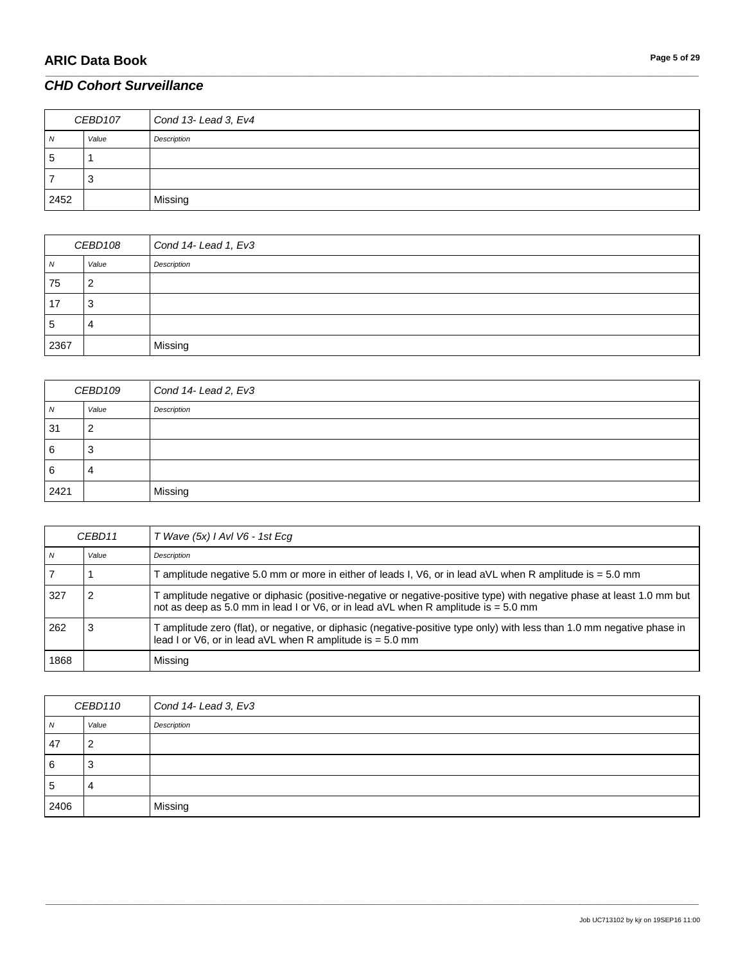| CEBD107 |       | Cond 13- Lead 3, Ev4 |
|---------|-------|----------------------|
| N       | Value | Description          |
| 5       |       |                      |
|         |       |                      |
| 2452    |       | Missing              |

\_\_\_\_\_\_\_\_\_\_\_\_\_\_\_\_\_\_\_\_\_\_\_\_\_\_\_\_\_\_\_\_\_\_\_\_\_\_\_\_\_\_\_\_\_\_\_\_\_\_\_\_\_\_\_\_\_\_\_\_\_\_\_\_\_\_\_\_\_\_\_\_\_\_\_\_\_\_\_\_\_\_\_\_\_\_\_\_\_\_\_\_\_\_\_\_\_\_\_\_\_\_\_\_\_\_\_\_\_\_\_\_\_\_\_\_\_\_\_\_\_\_\_\_\_\_\_\_\_\_\_\_\_\_\_\_\_\_\_\_\_\_\_\_\_\_\_\_\_\_\_\_\_\_\_\_\_\_\_\_\_\_\_\_\_\_\_\_\_\_\_\_\_\_\_\_\_\_\_\_\_\_\_\_\_\_\_\_\_\_\_\_\_

| CEBD108 |       | Cond 14- Lead 1, Ev3 |
|---------|-------|----------------------|
| 7V      | Value | Description          |
| 75      | n     |                      |
| 17      | 3     |                      |
| 5       | 4     |                      |
| 2367    |       | Missing              |

| CEBD109 |       | Cond 14- Lead 2, Ev3 |
|---------|-------|----------------------|
| 7V      | Value | Description          |
| 31      |       |                      |
| 6       | J     |                      |
| 6       | 4     |                      |
| 2421    |       | Missing              |

| CEBD11 |       | T Wave (5x) I AvI V6 - 1st Ecq                                                                                                                                                                               |
|--------|-------|--------------------------------------------------------------------------------------------------------------------------------------------------------------------------------------------------------------|
| N      | Value | Description                                                                                                                                                                                                  |
|        |       | Tamplitude negative 5.0 mm or more in either of leads I, V6, or in lead aVL when R amplitude is = 5.0 mm                                                                                                     |
| 327    |       | F amplitude negative or diphasic (positive-negative or negative-positive type) with negative phase at least 1.0 mm but<br>not as deep as 5.0 mm in lead I or V6, or in lead aVL when R amplitude is = 5.0 mm |
| 262    |       | T amplitude zero (flat), or negative, or diphasic (negative-positive type only) with less than 1.0 mm negative phase in<br>lead I or $V6$ , or in lead aVL when R amplitude is $= 5.0$ mm                    |
| 1868   |       | Missing                                                                                                                                                                                                      |

| CEBD110     |       | Cond 14- Lead 3, Ev3 |
|-------------|-------|----------------------|
| N           | Value | Description          |
| 47          | 2     |                      |
| 6           | 3     |                      |
| $\mathbf b$ | 4     |                      |
| 2406        |       | Missing              |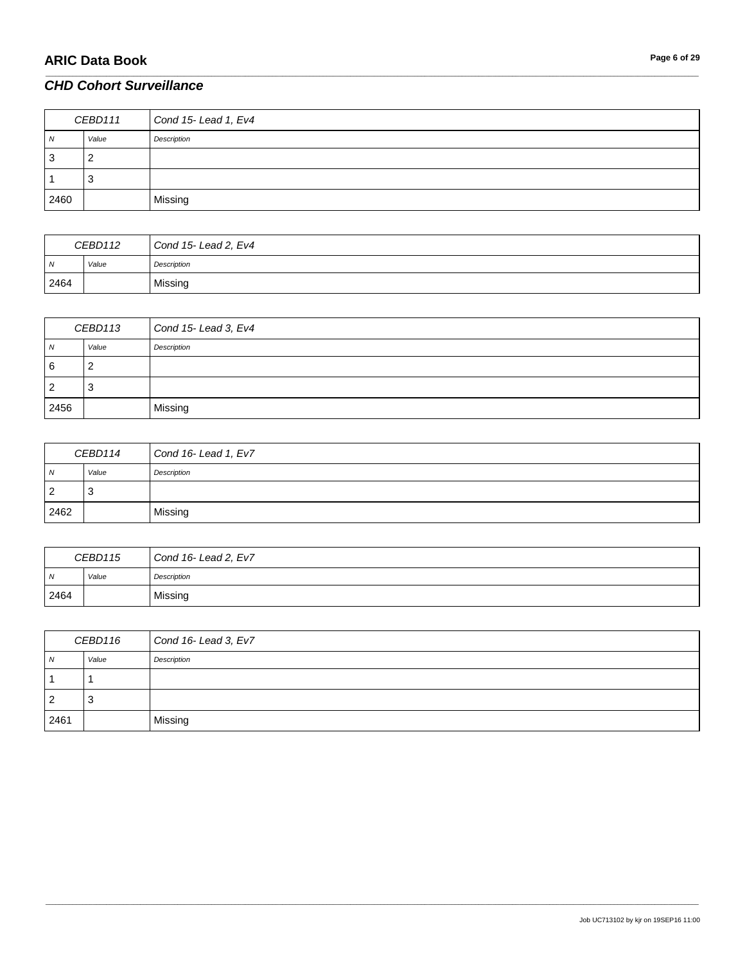| CEBD111 |       | Cond 15- Lead 1, Ev4 |
|---------|-------|----------------------|
| N       | Value | Description          |
| 3       |       |                      |
|         |       |                      |
| 2460    |       | Missing              |

\_\_\_\_\_\_\_\_\_\_\_\_\_\_\_\_\_\_\_\_\_\_\_\_\_\_\_\_\_\_\_\_\_\_\_\_\_\_\_\_\_\_\_\_\_\_\_\_\_\_\_\_\_\_\_\_\_\_\_\_\_\_\_\_\_\_\_\_\_\_\_\_\_\_\_\_\_\_\_\_\_\_\_\_\_\_\_\_\_\_\_\_\_\_\_\_\_\_\_\_\_\_\_\_\_\_\_\_\_\_\_\_\_\_\_\_\_\_\_\_\_\_\_\_\_\_\_\_\_\_\_\_\_\_\_\_\_\_\_\_\_\_\_\_\_\_\_\_\_\_\_\_\_\_\_\_\_\_\_\_\_\_\_\_\_\_\_\_\_\_\_\_\_\_\_\_\_\_\_\_\_\_\_\_\_\_\_\_\_\_\_\_\_

| CEBD112 |       | Cond 15- Lead 2, Ev4 |
|---------|-------|----------------------|
| N       | Value | Description          |
| 2464    |       | Missing              |

| CEBD113 |       | Cond 15- Lead 3, Ev4 |
|---------|-------|----------------------|
| N       | Value | Description          |
| 6       | _     |                      |
| 2       | -3    |                      |
| 2456    |       | Missing              |

| CEBD114        |       | Cond 16- Lead 1, Ev7 |
|----------------|-------|----------------------|
| $\overline{N}$ | Value | Description          |
| $\overline{2}$ | ۰J    |                      |
| 2462           |       | Missing              |

| CEBD115 |       | Cond 16-Lead 2, Ev7 |
|---------|-------|---------------------|
| N       | Value | Description         |
| 2464    |       | Missing             |

| CEBD116        |       | Cond 16- Lead 3, Ev7 |
|----------------|-------|----------------------|
| N              | Value | Description          |
|                |       |                      |
| $\overline{2}$ | చ     |                      |
| 2461           |       | Missing              |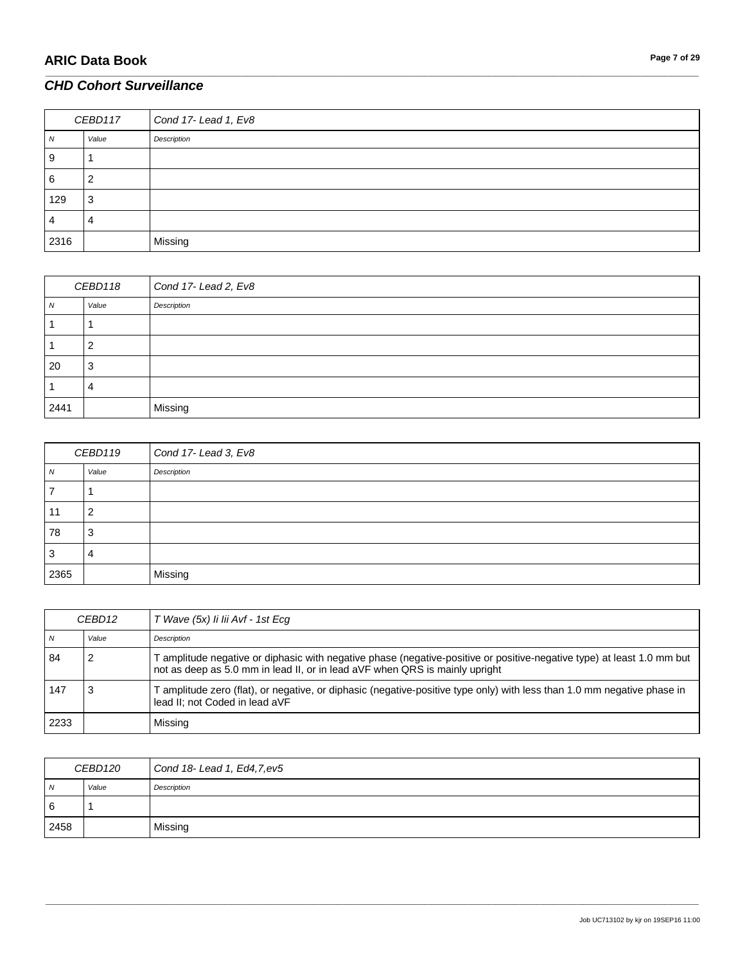| CEBD117 |       | Cond 17-Lead 1, Ev8 |
|---------|-------|---------------------|
| N       | Value | Description         |
| 9       |       |                     |
| 6       | ∼     |                     |
| 129     | 3     |                     |
| 4       | 4     |                     |
| 2316    |       | Missing             |

\_\_\_\_\_\_\_\_\_\_\_\_\_\_\_\_\_\_\_\_\_\_\_\_\_\_\_\_\_\_\_\_\_\_\_\_\_\_\_\_\_\_\_\_\_\_\_\_\_\_\_\_\_\_\_\_\_\_\_\_\_\_\_\_\_\_\_\_\_\_\_\_\_\_\_\_\_\_\_\_\_\_\_\_\_\_\_\_\_\_\_\_\_\_\_\_\_\_\_\_\_\_\_\_\_\_\_\_\_\_\_\_\_\_\_\_\_\_\_\_\_\_\_\_\_\_\_\_\_\_\_\_\_\_\_\_\_\_\_\_\_\_\_\_\_\_\_\_\_\_\_\_\_\_\_\_\_\_\_\_\_\_\_\_\_\_\_\_\_\_\_\_\_\_\_\_\_\_\_\_\_\_\_\_\_\_\_\_\_\_\_\_\_

| CEBD118 |       | Cond 17-Lead 2, Ev8 |
|---------|-------|---------------------|
| ΙV      | Value | Description         |
|         |       |                     |
|         | ◠     |                     |
| 20      | 3     |                     |
|         | 4     |                     |
| 2441    |       | Missing             |

| CEBD119 |       | Cond 17-Lead 3, Ev8 |
|---------|-------|---------------------|
| N       | Value | Description         |
|         |       |                     |
| 11      | 2     |                     |
| 78      | 3     |                     |
| 3       | 4     |                     |
| 2365    |       | Missing             |

| CEBD <sub>12</sub> |       | T Wave (5x) li lii Avf - 1st Ecq                                                                                                                                                                      |
|--------------------|-------|-------------------------------------------------------------------------------------------------------------------------------------------------------------------------------------------------------|
| N                  | Value | Description                                                                                                                                                                                           |
| -84                |       | T amplitude negative or diphasic with negative phase (negative-positive or positive-negative type) at least 1.0 mm but<br>not as deep as 5.0 mm in lead II, or in lead aVF when QRS is mainly upright |
| 147                | 3     | T amplitude zero (flat), or negative, or diphasic (negative-positive type only) with less than 1.0 mm negative phase in<br>lead II: not Coded in lead aVF                                             |
| 2233               |       | Missing                                                                                                                                                                                               |

| CEBD120        |       | Cond 18- Lead 1, Ed4, 7, ev5 |
|----------------|-------|------------------------------|
| $\overline{N}$ | Value | Description                  |
| <sup>6</sup>   |       |                              |
| 2458           |       | Missing                      |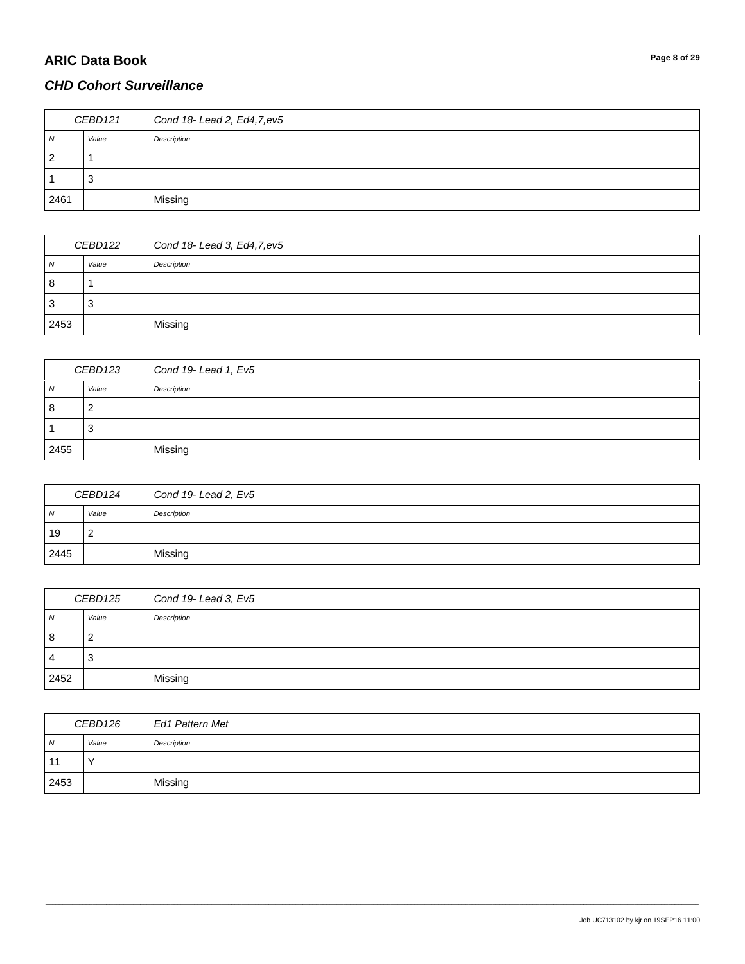| CEBD121        |       | Cond 18- Lead 2, Ed4, 7, ev5 |
|----------------|-------|------------------------------|
| N              | Value | Description                  |
| $\overline{2}$ |       |                              |
|                |       |                              |
| 2461           |       | Missing                      |

\_\_\_\_\_\_\_\_\_\_\_\_\_\_\_\_\_\_\_\_\_\_\_\_\_\_\_\_\_\_\_\_\_\_\_\_\_\_\_\_\_\_\_\_\_\_\_\_\_\_\_\_\_\_\_\_\_\_\_\_\_\_\_\_\_\_\_\_\_\_\_\_\_\_\_\_\_\_\_\_\_\_\_\_\_\_\_\_\_\_\_\_\_\_\_\_\_\_\_\_\_\_\_\_\_\_\_\_\_\_\_\_\_\_\_\_\_\_\_\_\_\_\_\_\_\_\_\_\_\_\_\_\_\_\_\_\_\_\_\_\_\_\_\_\_\_\_\_\_\_\_\_\_\_\_\_\_\_\_\_\_\_\_\_\_\_\_\_\_\_\_\_\_\_\_\_\_\_\_\_\_\_\_\_\_\_\_\_\_\_\_\_\_

| CEBD122 |       | Cond $18$ - Lead 3, Ed4, 7, ev $5$ |
|---------|-------|------------------------------------|
| N       | Value | Description                        |
| 8       |       |                                    |
| -3      | د.    |                                    |
| 2453    |       | Missing                            |

| CEBD123 |       | Cond 19-Lead 1, Ev5 |
|---------|-------|---------------------|
| N       | Value | Description         |
| 8       | ∠     |                     |
|         | 3     |                     |
| 2455    |       | Missing             |

| CEBD124 |       | Cond 19-Lead 2, Ev5 |
|---------|-------|---------------------|
| N       | Value | Description         |
| 19      | -     |                     |
| 2445    |       | Missing             |

| CEBD125        |       | Cond 19-Lead 3, Ev5 |
|----------------|-------|---------------------|
| N              | Value | Description         |
| 8              | 2     |                     |
| $\overline{4}$ | 3     |                     |
| 2452           |       | Missing             |

| CEBD126 |              | <b>Ed1 Pattern Met</b> |
|---------|--------------|------------------------|
| N       | Value        | Description            |
| 11      | $\checkmark$ |                        |
| 2453    |              | Missing                |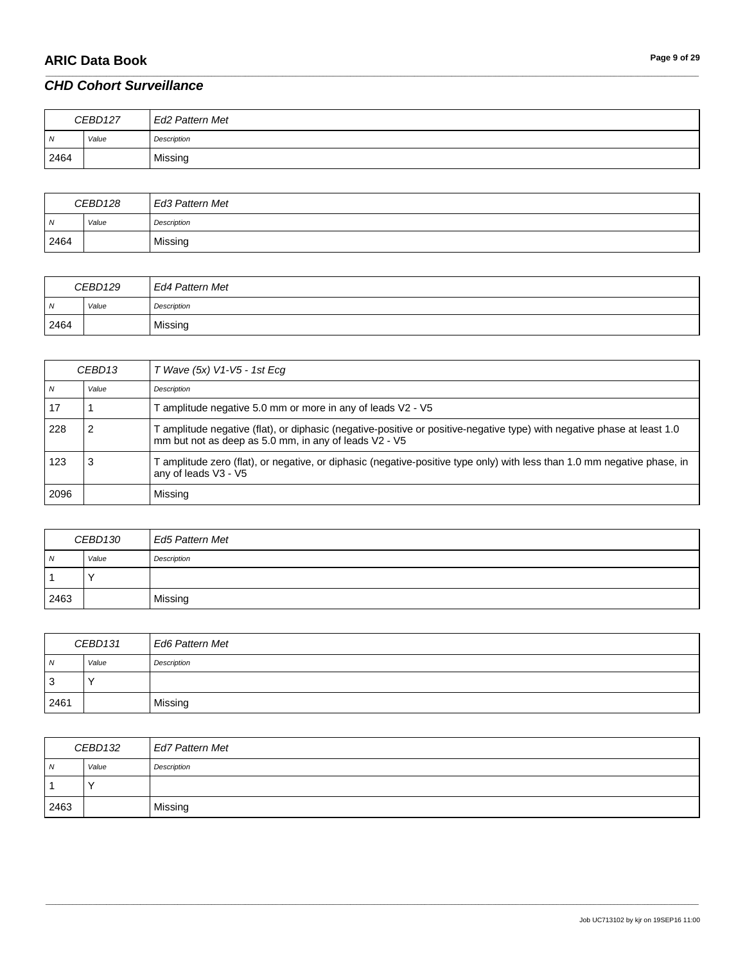| CEBD127        |       | Ed2 Pattern Met |
|----------------|-------|-----------------|
| $\overline{M}$ | Value | Description     |
| 2464           |       | Missing         |

\_\_\_\_\_\_\_\_\_\_\_\_\_\_\_\_\_\_\_\_\_\_\_\_\_\_\_\_\_\_\_\_\_\_\_\_\_\_\_\_\_\_\_\_\_\_\_\_\_\_\_\_\_\_\_\_\_\_\_\_\_\_\_\_\_\_\_\_\_\_\_\_\_\_\_\_\_\_\_\_\_\_\_\_\_\_\_\_\_\_\_\_\_\_\_\_\_\_\_\_\_\_\_\_\_\_\_\_\_\_\_\_\_\_\_\_\_\_\_\_\_\_\_\_\_\_\_\_\_\_\_\_\_\_\_\_\_\_\_\_\_\_\_\_\_\_\_\_\_\_\_\_\_\_\_\_\_\_\_\_\_\_\_\_\_\_\_\_\_\_\_\_\_\_\_\_\_\_\_\_\_\_\_\_\_\_\_\_\_\_\_\_\_

| CEBD128 |       | Ed3 Pattern Met |
|---------|-------|-----------------|
| N       | Value | Description     |
| 2464    |       | Missing         |

| CEBD129        |       | Ed4 Pattern Met |
|----------------|-------|-----------------|
| $\overline{M}$ | Value | Description     |
| 2464           |       | Missing         |

| CEBD13 |       | T Wave (5x) V1-V5 - 1st Ecg                                                                                                                                                      |
|--------|-------|----------------------------------------------------------------------------------------------------------------------------------------------------------------------------------|
| N      | Value | Description                                                                                                                                                                      |
| -17    |       | F amplitude negative 5.0 mm or more in any of leads V2 - V5                                                                                                                      |
| 228    |       | T amplitude negative (flat), or diphasic (negative-positive or positive-negative type) with negative phase at least 1.0<br>mm but not as deep as 5.0 mm, in any of leads V2 - V5 |
| 123    |       | T amplitude zero (flat), or negative, or diphasic (negative-positive type only) with less than 1.0 mm negative phase, in<br>any of leads V3 - V5                                 |
| 2096   |       | Missing                                                                                                                                                                          |

| CEBD130        |       | <b>Ed5 Pattern Met</b> |
|----------------|-------|------------------------|
| $\overline{N}$ | Value | Description            |
|                |       |                        |
| 2463           |       | Missing                |

| CEBD131        |       | <b>Ed6 Pattern Met</b> |
|----------------|-------|------------------------|
| $\overline{M}$ | Value | Description            |
| 3              |       |                        |
| 2461           |       | Missing                |

| CEBD132 |       | Ed7 Pattern Met |
|---------|-------|-----------------|
| Ν       | Value | Description     |
|         |       |                 |
| 2463    |       | Missing         |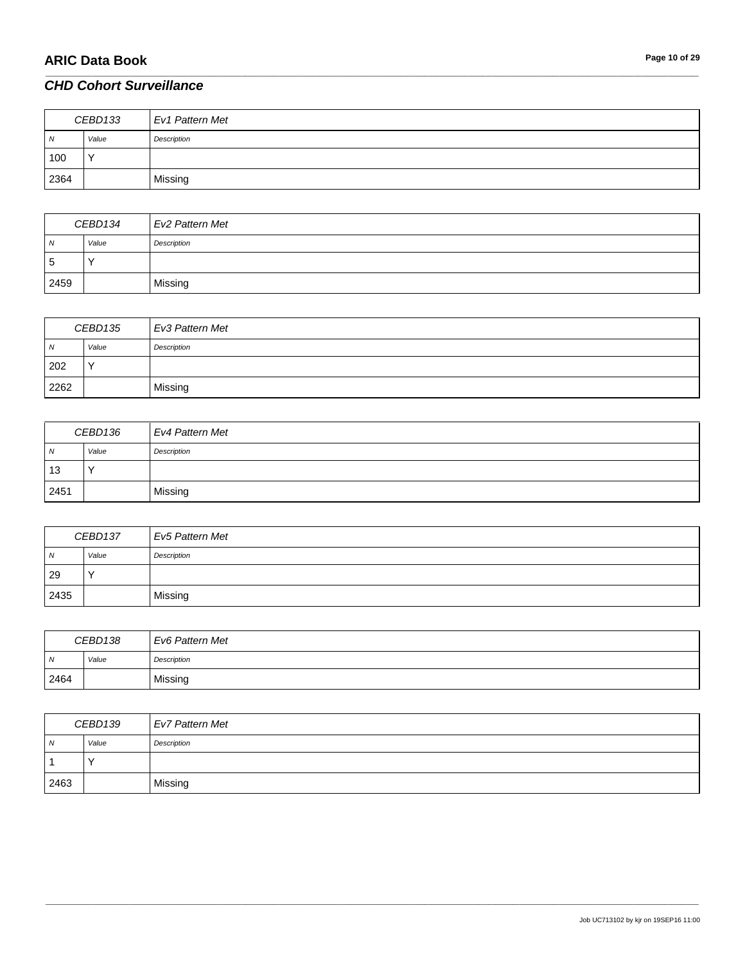| CEBD133        |              | Ev1 Pattern Met |
|----------------|--------------|-----------------|
| $\overline{N}$ | Value        | Description     |
| 100            | $\checkmark$ |                 |
| 2364           |              | Missing         |

\_\_\_\_\_\_\_\_\_\_\_\_\_\_\_\_\_\_\_\_\_\_\_\_\_\_\_\_\_\_\_\_\_\_\_\_\_\_\_\_\_\_\_\_\_\_\_\_\_\_\_\_\_\_\_\_\_\_\_\_\_\_\_\_\_\_\_\_\_\_\_\_\_\_\_\_\_\_\_\_\_\_\_\_\_\_\_\_\_\_\_\_\_\_\_\_\_\_\_\_\_\_\_\_\_\_\_\_\_\_\_\_\_\_\_\_\_\_\_\_\_\_\_\_\_\_\_\_\_\_\_\_\_\_\_\_\_\_\_\_\_\_\_\_\_\_\_\_\_\_\_\_\_\_\_\_\_\_\_\_\_\_\_\_\_\_\_\_\_\_\_\_\_\_\_\_\_\_\_\_\_\_\_\_\_\_\_\_\_\_\_\_\_

| CEBD134        |             | Ev2 Pattern Met |
|----------------|-------------|-----------------|
| $\overline{N}$ | Value       | Description     |
| 5              | $\check{ }$ |                 |
| 2459           |             | Missing         |

| CEBD135 |              | Ev3 Pattern Met |
|---------|--------------|-----------------|
| ıN.     | Value        | Description     |
| 202     | $\checkmark$ |                 |
| 2262    |              | Missing         |

| CEBD136        |       | <b>Ev4 Pattern Met</b> |
|----------------|-------|------------------------|
| $\overline{N}$ | Value | Description            |
| 13             |       |                        |
| 2451           |       | Missing                |

| CEBD137 |       | Ev5 Pattern Met |
|---------|-------|-----------------|
| N       | Value | Description     |
| 29      |       |                 |
| 2435    |       | Missing         |

| CEBD138 |       | Ev6 Pattern Met |
|---------|-------|-----------------|
| N       | Value | Description     |
| 2464    |       | Missing         |

| CEBD139    |       | <b>Ev7 Pattern Met</b> |
|------------|-------|------------------------|
| $\sqrt{N}$ | Value | Description            |
|            |       |                        |
| 2463       |       | Missing                |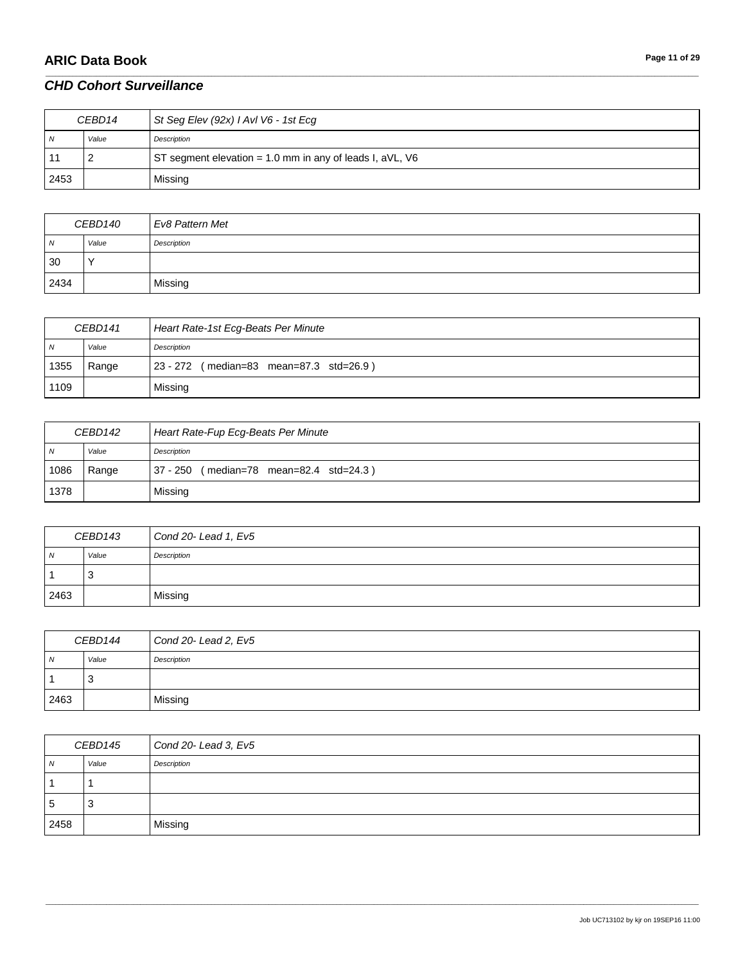# **ARIC Data Book Page 11 of 29**

### *CHD Cohort Surveillance*

| CEBD14 |       | St Seg Elev (92x) I AvI V6 - 1st Ecg                     |
|--------|-------|----------------------------------------------------------|
| N      | Value | Description                                              |
|        |       | ST segment elevation = 1.0 mm in any of leads I, aVL, V6 |
| 2453   |       | Missing                                                  |

\_\_\_\_\_\_\_\_\_\_\_\_\_\_\_\_\_\_\_\_\_\_\_\_\_\_\_\_\_\_\_\_\_\_\_\_\_\_\_\_\_\_\_\_\_\_\_\_\_\_\_\_\_\_\_\_\_\_\_\_\_\_\_\_\_\_\_\_\_\_\_\_\_\_\_\_\_\_\_\_\_\_\_\_\_\_\_\_\_\_\_\_\_\_\_\_\_\_\_\_\_\_\_\_\_\_\_\_\_\_\_\_\_\_\_\_\_\_\_\_\_\_\_\_\_\_\_\_\_\_\_\_\_\_\_\_\_\_\_\_\_\_\_\_\_\_\_\_\_\_\_\_\_\_\_\_\_\_\_\_\_\_\_\_\_\_\_\_\_\_\_\_\_\_\_\_\_\_\_\_\_\_\_\_\_\_\_\_\_\_\_\_\_

| CEBD140        |           | Ev8 Pattern Met |
|----------------|-----------|-----------------|
| $\overline{N}$ | Value     | Description     |
| 30             | $\lambda$ |                 |
| 2434           |           | Missing         |

| CEBD141    |       | Heart Rate-1st Ecg-Beats Per Minute     |
|------------|-------|-----------------------------------------|
| $\sqrt{N}$ | Value | Description                             |
| 1355       | Range | 23 - 272 (median=83 mean=87.3 std=26.9) |
| 1109       |       | Missing                                 |

| CEBD142 |       | Heart Rate-Fup Ecg-Beats Per Minute          |
|---------|-------|----------------------------------------------|
| N       | Value | Description                                  |
| 1086    | Range | $37 - 250$<br>(median=78 mean=82.4 std=24.3) |
| 1378    |       | Missing                                      |

| CEBD143        |       | Cond 20-Lead 1, Ev5 |
|----------------|-------|---------------------|
| $\overline{N}$ | Value | Description         |
|                | - 3   |                     |
| 2463           |       | Missing             |

| CEBD144 |       | Cond 20-Lead 2, Ev5 |
|---------|-------|---------------------|
| N       | Value | Description         |
|         | 3     |                     |
| 2463    |       | Missing             |

| CEBD145      |       | Cond 20- Lead 3, Ev5 |
|--------------|-------|----------------------|
| N            | Value | Description          |
|              |       |                      |
| <sub>5</sub> | 3     |                      |
| 2458         |       | Missing              |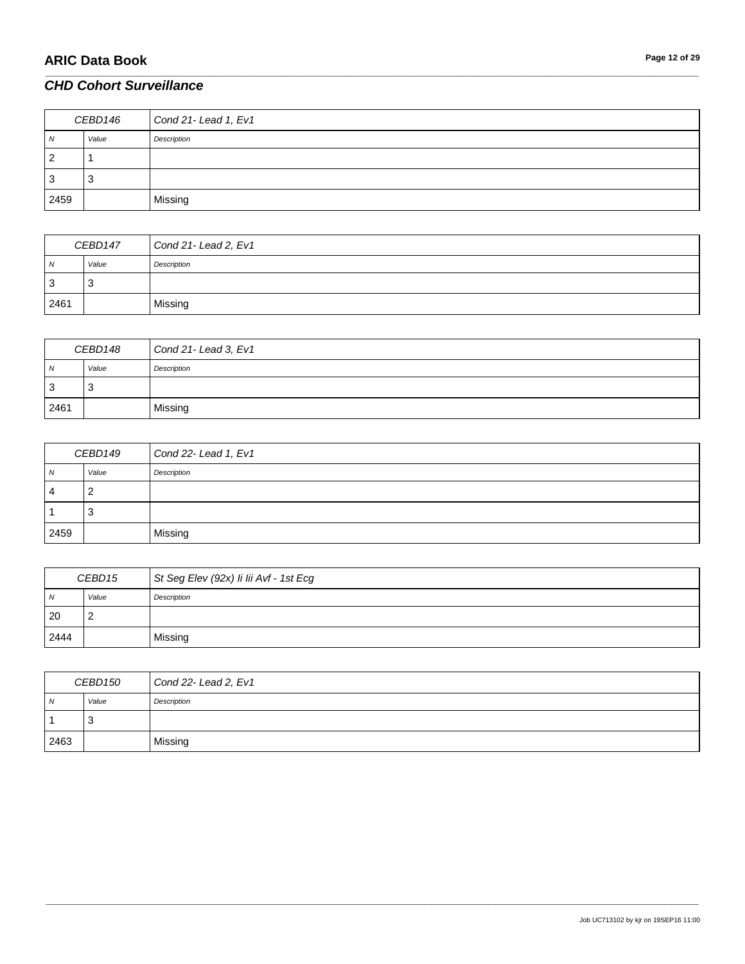| CEBD146 |       | Cond 21- Lead 1, Ev1 |
|---------|-------|----------------------|
| N       | Value | Description          |
| 2       |       |                      |
| 3       | رب    |                      |
| 2459    |       | Missing              |

\_\_\_\_\_\_\_\_\_\_\_\_\_\_\_\_\_\_\_\_\_\_\_\_\_\_\_\_\_\_\_\_\_\_\_\_\_\_\_\_\_\_\_\_\_\_\_\_\_\_\_\_\_\_\_\_\_\_\_\_\_\_\_\_\_\_\_\_\_\_\_\_\_\_\_\_\_\_\_\_\_\_\_\_\_\_\_\_\_\_\_\_\_\_\_\_\_\_\_\_\_\_\_\_\_\_\_\_\_\_\_\_\_\_\_\_\_\_\_\_\_\_\_\_\_\_\_\_\_\_\_\_\_\_\_\_\_\_\_\_\_\_\_\_\_\_\_\_\_\_\_\_\_\_\_\_\_\_\_\_\_\_\_\_\_\_\_\_\_\_\_\_\_\_\_\_\_\_\_\_\_\_\_\_\_\_\_\_\_\_\_\_\_

| CEBD147 |       | Cond 21-Lead 2, Ev1 |
|---------|-------|---------------------|
| N       | Value | Description         |
| 3       | ر.    |                     |
| 2461    |       | Missing             |

| CEBD148        |       | Cond 21- Lead 3, Ev1 |
|----------------|-------|----------------------|
| $\overline{N}$ | Value | Description          |
| 3              | ు     |                      |
| 2461           |       | Missing              |

| CEBD149        |       | Cond 22- Lead 1, Ev1 |
|----------------|-------|----------------------|
| N              | Value | Description          |
| $\overline{4}$ | _     |                      |
|                | ు     |                      |
| 2459           |       | Missing              |

| CEBD15       |       | St Seg Elev (92x) li lii Avf - 1st Ecg |
|--------------|-------|----------------------------------------|
| $\mathcal N$ | Value | Description                            |
| 20           | -     |                                        |
| 2444         |       | Missing                                |

| CEBD150 |       | Cond 22-Lead 2, Ev1 |
|---------|-------|---------------------|
| N       | Value | Description         |
|         | د.    |                     |
| 2463    |       | Missing             |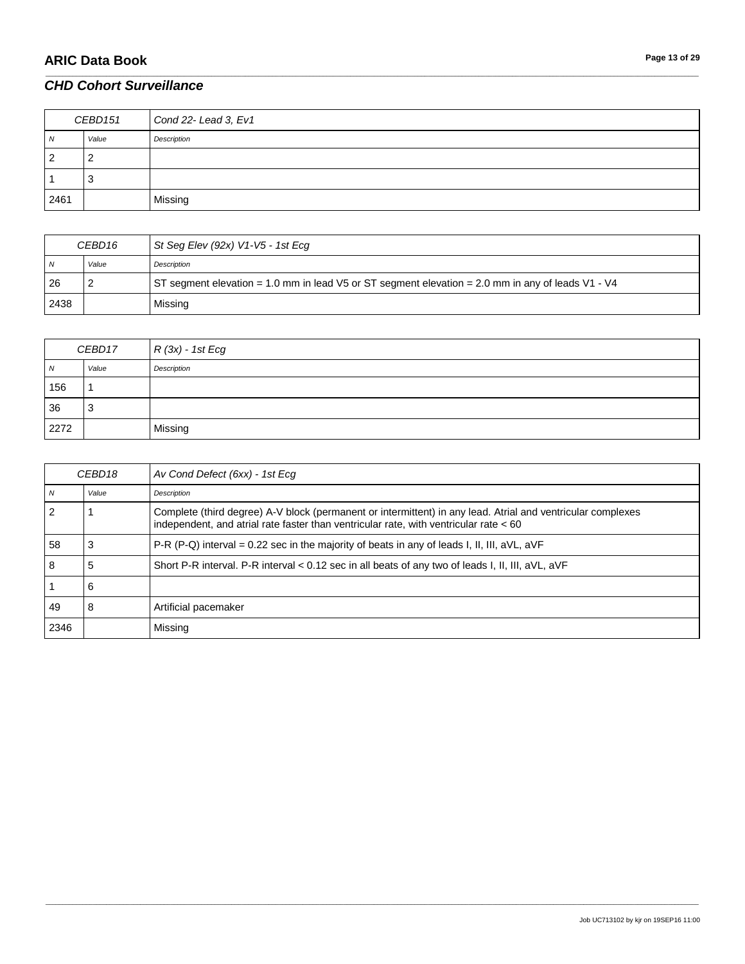| CEBD151        |       | Cond 22- Lead 3, Ev1 |
|----------------|-------|----------------------|
| N              | Value | Description          |
| $\overline{2}$ | ∼     |                      |
|                |       |                      |
| 2461           |       | Missing              |

\_\_\_\_\_\_\_\_\_\_\_\_\_\_\_\_\_\_\_\_\_\_\_\_\_\_\_\_\_\_\_\_\_\_\_\_\_\_\_\_\_\_\_\_\_\_\_\_\_\_\_\_\_\_\_\_\_\_\_\_\_\_\_\_\_\_\_\_\_\_\_\_\_\_\_\_\_\_\_\_\_\_\_\_\_\_\_\_\_\_\_\_\_\_\_\_\_\_\_\_\_\_\_\_\_\_\_\_\_\_\_\_\_\_\_\_\_\_\_\_\_\_\_\_\_\_\_\_\_\_\_\_\_\_\_\_\_\_\_\_\_\_\_\_\_\_\_\_\_\_\_\_\_\_\_\_\_\_\_\_\_\_\_\_\_\_\_\_\_\_\_\_\_\_\_\_\_\_\_\_\_\_\_\_\_\_\_\_\_\_\_\_\_

| CEBD <sub>16</sub> |       | St Seg Elev (92x) V1-V5 - 1st Ecg                                                                 |
|--------------------|-------|---------------------------------------------------------------------------------------------------|
| N                  | Value | Description                                                                                       |
| 26                 |       | ST segment elevation = 1.0 mm in lead V5 or ST segment elevation = 2.0 mm in any of leads V1 - V4 |
| 2438               |       | Missing                                                                                           |

| CEBD17     |       | $R(3x) - 1st Ecg$ |
|------------|-------|-------------------|
| $\sqrt{N}$ | Value | Description       |
| 156        |       |                   |
| 36         | 3     |                   |
| 2272       |       | Missing           |

| CEBD <sub>18</sub> |       | Av Cond Defect (6xx) - 1st Ecg                                                                                                                                                                         |
|--------------------|-------|--------------------------------------------------------------------------------------------------------------------------------------------------------------------------------------------------------|
| $\overline{M}$     | Value | Description                                                                                                                                                                                            |
| 2                  |       | Complete (third degree) A-V block (permanent or intermittent) in any lead. Atrial and ventricular complexes<br>independent, and atrial rate faster than ventricular rate, with ventricular rate $< 60$ |
| 58                 | 3     | P-R (P-Q) interval = 0.22 sec in the majority of beats in any of leads I, II, III, $aVL$ , $aVF$                                                                                                       |
| 8                  | 5     | Short P-R interval. P-R interval $< 0.12$ sec in all beats of any two of leads I, II, III, aVL, aVF                                                                                                    |
|                    | 6     |                                                                                                                                                                                                        |
| 49                 | 8     | Artificial pacemaker                                                                                                                                                                                   |
| 2346               |       | Missing                                                                                                                                                                                                |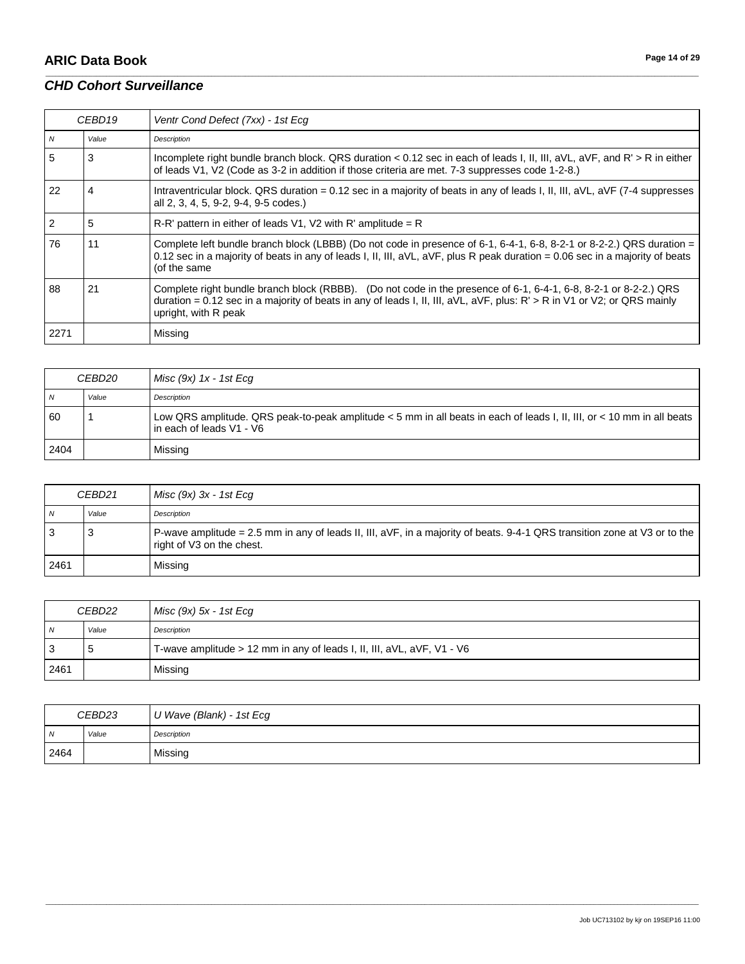# **ARIC Data Book Page 14 of 29**

### *CHD Cohort Surveillance*

| CEBD <sub>19</sub> |       | Ventr Cond Defect (7xx) - 1st Ecg                                                                                                                                                                                                                                     |
|--------------------|-------|-----------------------------------------------------------------------------------------------------------------------------------------------------------------------------------------------------------------------------------------------------------------------|
| $\overline{N}$     | Value | Description                                                                                                                                                                                                                                                           |
| 5                  | 3     | Incomplete right bundle branch block. QRS duration < 0.12 sec in each of leads I, II, III, aVL, aVF, and R' > R in either<br>of leads V1, V2 (Code as 3-2 in addition if those criteria are met. 7-3 suppresses code 1-2-8.)                                          |
| 22                 | 4     | Intraventricular block. QRS duration = 0.12 sec in a majority of beats in any of leads I, II, III, $aVL$ , $aVF$ (7-4 suppresses<br>all 2, 3, 4, 5, 9-2, 9-4, 9-5 codes.)                                                                                             |
| 2                  | 5     | $R-R'$ pattern in either of leads V1, V2 with R' amplitude = R                                                                                                                                                                                                        |
| 76                 | 11    | Complete left bundle branch block (LBBB) (Do not code in presence of 6-1, 6-4-1, 6-8, 8-2-1 or 8-2-2.) QRS duration =<br>0.12 sec in a majority of beats in any of leads I, II, III, aVL, aVF, plus R peak duration = 0.06 sec in a majority of beats<br>(of the same |
| 88                 | 21    | Complete right bundle branch block (RBBB). (Do not code in the presence of 6-1, 6-4-1, 6-8, 8-2-1 or 8-2-2.) QRS<br>duration = 0.12 sec in a majority of beats in any of leads I, II, III, aVL, aVF, plus: R' > R in V1 or V2; or QRS mainly<br>upright, with R peak  |
| 2271               |       | Missing                                                                                                                                                                                                                                                               |

\_\_\_\_\_\_\_\_\_\_\_\_\_\_\_\_\_\_\_\_\_\_\_\_\_\_\_\_\_\_\_\_\_\_\_\_\_\_\_\_\_\_\_\_\_\_\_\_\_\_\_\_\_\_\_\_\_\_\_\_\_\_\_\_\_\_\_\_\_\_\_\_\_\_\_\_\_\_\_\_\_\_\_\_\_\_\_\_\_\_\_\_\_\_\_\_\_\_\_\_\_\_\_\_\_\_\_\_\_\_\_\_\_\_\_\_\_\_\_\_\_\_\_\_\_\_\_\_\_\_\_\_\_\_\_\_\_\_\_\_\_\_\_\_\_\_\_\_\_\_\_\_\_\_\_\_\_\_\_\_\_\_\_\_\_\_\_\_\_\_\_\_\_\_\_\_\_\_\_\_\_\_\_\_\_\_\_\_\_\_\_\_\_

| CEBD20 |       | Misc (9x) 1x - 1st Ecq                                                                                                                             |
|--------|-------|----------------------------------------------------------------------------------------------------------------------------------------------------|
| N      | Value | Description                                                                                                                                        |
| 60     |       | Low QRS amplitude. QRS peak-to-peak amplitude < 5 mm in all beats in each of leads I, II, III, or < 10 mm in all beats<br>in each of leads V1 - V6 |
| 2404   |       | Missing                                                                                                                                            |

| CEBD21 |       | Misc $(9x)$ 3x - 1st Ecq                                                                                                                               |
|--------|-------|--------------------------------------------------------------------------------------------------------------------------------------------------------|
| N      | Value | Description                                                                                                                                            |
|        | 3     | P-wave amplitude = 2.5 mm in any of leads II, III, aVF, in a majority of beats. 9-4-1 QRS transition zone at V3 or to the<br>right of V3 on the chest. |
| 2461   |       | Missing                                                                                                                                                |

| CEBD22 |       | $Misc (9x) 5x - 1st Ecg$                                               |
|--------|-------|------------------------------------------------------------------------|
| N      | Value | Description                                                            |
| ີ      | .5    | T-wave amplitude > 12 mm in any of leads I, II, III, aVL, aVF, V1 - V6 |
| 2461   |       | Missing                                                                |

| CEBD23 |       | U Wave (Blank) - 1st Ecg |
|--------|-------|--------------------------|
| N      | Value | Description              |
| 2464   |       | Missing                  |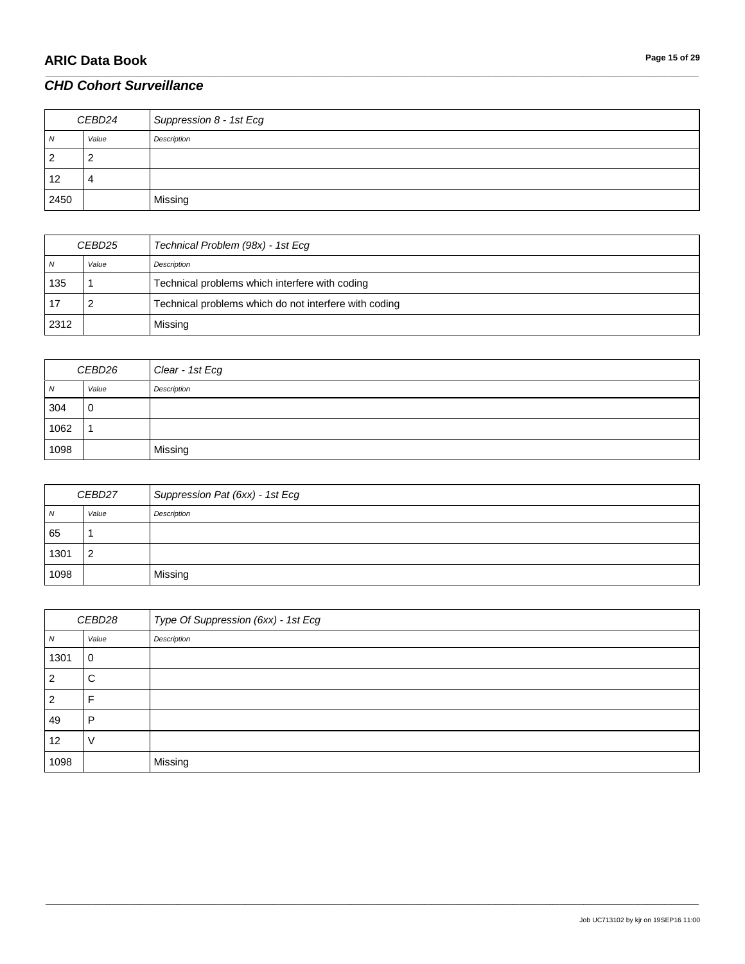# **ARIC Data Book Page 15 of 29**

# *CHD Cohort Surveillance*

| CEBD24         |       | Suppression 8 - 1st Ecg |
|----------------|-------|-------------------------|
| N              | Value | Description             |
| $\overline{2}$ | _     |                         |
| 12             | 4     |                         |
| 2450           |       | Missing                 |

\_\_\_\_\_\_\_\_\_\_\_\_\_\_\_\_\_\_\_\_\_\_\_\_\_\_\_\_\_\_\_\_\_\_\_\_\_\_\_\_\_\_\_\_\_\_\_\_\_\_\_\_\_\_\_\_\_\_\_\_\_\_\_\_\_\_\_\_\_\_\_\_\_\_\_\_\_\_\_\_\_\_\_\_\_\_\_\_\_\_\_\_\_\_\_\_\_\_\_\_\_\_\_\_\_\_\_\_\_\_\_\_\_\_\_\_\_\_\_\_\_\_\_\_\_\_\_\_\_\_\_\_\_\_\_\_\_\_\_\_\_\_\_\_\_\_\_\_\_\_\_\_\_\_\_\_\_\_\_\_\_\_\_\_\_\_\_\_\_\_\_\_\_\_\_\_\_\_\_\_\_\_\_\_\_\_\_\_\_\_\_\_\_

| CEBD25 |       | Technical Problem (98x) - 1st Ecg                     |
|--------|-------|-------------------------------------------------------|
| N      | Value | Description                                           |
| 135    |       | Technical problems which interfere with coding        |
| -17    |       | Technical problems which do not interfere with coding |
| 2312   |       | Missing                                               |

| CEBD26 |             | Clear - 1st Ecg |
|--------|-------------|-----------------|
| N      | Value       | Description     |
| 304    | $\mathbf 0$ |                 |
| 1062   |             |                 |
| 1098   |             | Missing         |

| CEBD27 |                | Suppression Pat (6xx) - 1st Ecg |
|--------|----------------|---------------------------------|
| N      | Value          | Description                     |
| 65     |                |                                 |
| 1301   | $\overline{2}$ |                                 |
| 1098   |                | Missing                         |

| CEBD28           |             | Type Of Suppression (6xx) - 1st Ecg |
|------------------|-------------|-------------------------------------|
| $\boldsymbol{N}$ | Value       | Description                         |
| 1301             | $\mathbf 0$ |                                     |
| $\overline{2}$   | С           |                                     |
| $\overline{2}$   | F           |                                     |
| 49               | P           |                                     |
| 12               |             |                                     |
| 1098             |             | Missing                             |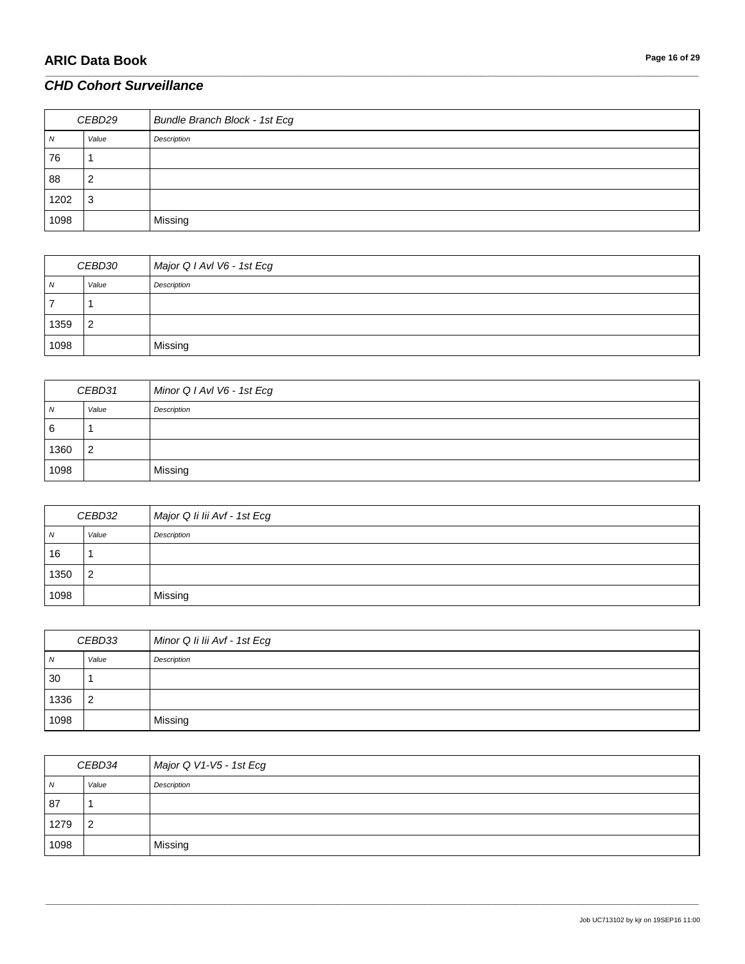# **ARIC Data Book Page 16 of 29**

# *CHD Cohort Surveillance*

| CEBD29 |       | <b>Bundle Branch Block - 1st Ecg</b> |
|--------|-------|--------------------------------------|
| N      | Value | Description                          |
| 76     |       |                                      |
| 88     |       |                                      |
| 1202   | 3     |                                      |
| 1098   |       | Missing                              |

\_\_\_\_\_\_\_\_\_\_\_\_\_\_\_\_\_\_\_\_\_\_\_\_\_\_\_\_\_\_\_\_\_\_\_\_\_\_\_\_\_\_\_\_\_\_\_\_\_\_\_\_\_\_\_\_\_\_\_\_\_\_\_\_\_\_\_\_\_\_\_\_\_\_\_\_\_\_\_\_\_\_\_\_\_\_\_\_\_\_\_\_\_\_\_\_\_\_\_\_\_\_\_\_\_\_\_\_\_\_\_\_\_\_\_\_\_\_\_\_\_\_\_\_\_\_\_\_\_\_\_\_\_\_\_\_\_\_\_\_\_\_\_\_\_\_\_\_\_\_\_\_\_\_\_\_\_\_\_\_\_\_\_\_\_\_\_\_\_\_\_\_\_\_\_\_\_\_\_\_\_\_\_\_\_\_\_\_\_\_\_\_\_

| CEBD30 |                | Major Q I AvI V6 - 1st Ecg |
|--------|----------------|----------------------------|
| N      | Value          | Description                |
|        |                |                            |
| 1359   | $\overline{2}$ |                            |
| 1098   |                | Missing                    |

| CEBD31 |                | Minor Q I AvI V6 - 1st Ecg |
|--------|----------------|----------------------------|
| N      | Value          | Description                |
| 6      |                |                            |
| 1360   | $\overline{2}$ |                            |
| 1098   |                | Missing                    |

| CEBD32 |                | Major Q Ii lii Avf - 1st Ecg |
|--------|----------------|------------------------------|
| N      | Value          | Description                  |
| 16     |                |                              |
| 1350   | $\overline{2}$ |                              |
| 1098   |                | Missing                      |

| CEBD33     |                | Minor Q Ii lii Avf - 1st Ecg |
|------------|----------------|------------------------------|
| $\sqrt{N}$ | Value          | Description                  |
| 30         |                |                              |
| 1336       | $\overline{2}$ |                              |
| 1098       |                | Missing                      |

| CEBD34 |       | Major Q V1-V5 - 1st Ecg |
|--------|-------|-------------------------|
| N      | Value | Description             |
| 87     |       |                         |
| 1279   | 2     |                         |
| 1098   |       | Missing                 |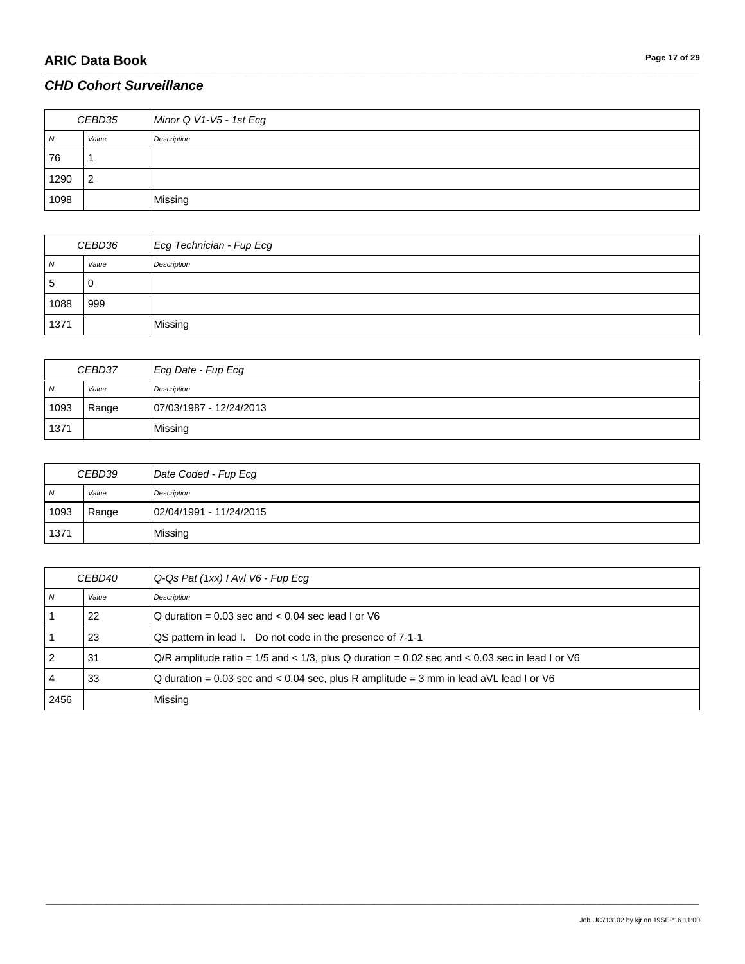| CEBD35 |                | Minor Q V1-V5 - 1st Ecg |
|--------|----------------|-------------------------|
| N      | Value          | Description             |
| 76     |                |                         |
| 1290   | $\overline{2}$ |                         |
| 1098   |                | Missing                 |

\_\_\_\_\_\_\_\_\_\_\_\_\_\_\_\_\_\_\_\_\_\_\_\_\_\_\_\_\_\_\_\_\_\_\_\_\_\_\_\_\_\_\_\_\_\_\_\_\_\_\_\_\_\_\_\_\_\_\_\_\_\_\_\_\_\_\_\_\_\_\_\_\_\_\_\_\_\_\_\_\_\_\_\_\_\_\_\_\_\_\_\_\_\_\_\_\_\_\_\_\_\_\_\_\_\_\_\_\_\_\_\_\_\_\_\_\_\_\_\_\_\_\_\_\_\_\_\_\_\_\_\_\_\_\_\_\_\_\_\_\_\_\_\_\_\_\_\_\_\_\_\_\_\_\_\_\_\_\_\_\_\_\_\_\_\_\_\_\_\_\_\_\_\_\_\_\_\_\_\_\_\_\_\_\_\_\_\_\_\_\_\_\_

| CEBD36 |       | Ecg Technician - Fup Ecg |
|--------|-------|--------------------------|
| N      | Value | Description              |
| 5      | U     |                          |
| 1088   | 999   |                          |
| 1371   |       | Missing                  |

| CEBD37 |       | Ecg Date - Fup Ecg      |
|--------|-------|-------------------------|
| N      | Value | Description             |
| 1093   | Range | 07/03/1987 - 12/24/2013 |
| 1371   |       | Missing                 |

| CEBD39 |       | Date Coded - Fup Ecg    |
|--------|-------|-------------------------|
| N      | Value | Description             |
| 1093   | Range | 02/04/1991 - 11/24/2015 |
| 1371   |       | Missing                 |

| <i>CEBD40</i> |       | Q-Qs Pat (1xx) I AvI V6 - Fup Ecg                                                                |
|---------------|-------|--------------------------------------------------------------------------------------------------|
|               | Value | Description                                                                                      |
|               | 22    | Q duration = $0.03$ sec and $< 0.04$ sec lead I or V6                                            |
|               | 23    | QS pattern in lead I. Do not code in the presence of 7-1-1                                       |
|               | 31    | $Q/R$ amplitude ratio = 1/5 and < 1/3, plus Q duration = 0.02 sec and < 0.03 sec in lead I or V6 |
|               | 33    | Q duration = 0.03 sec and < 0.04 sec, plus R amplitude = 3 mm in lead aVL lead I or V6           |
| 2456          |       | Missing                                                                                          |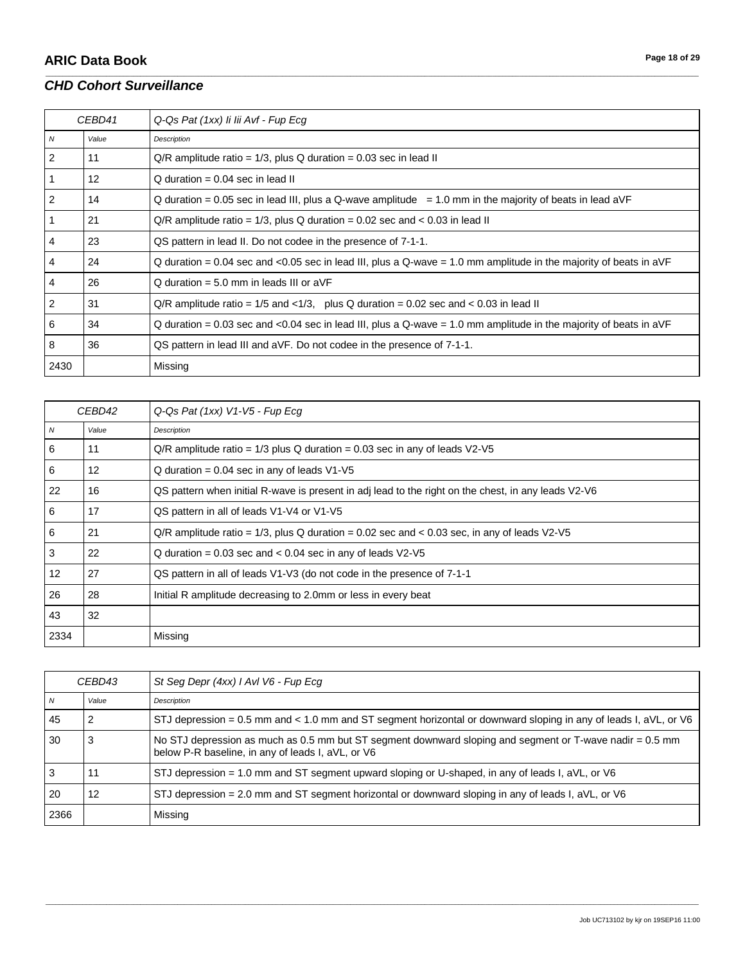| CEBD41         |                   | Q-Qs Pat (1xx) li lii Avf - Fup Ecg                                                                                   |
|----------------|-------------------|-----------------------------------------------------------------------------------------------------------------------|
| N              | Value             | Description                                                                                                           |
| 2              | 11                | $Q/R$ amplitude ratio = 1/3, plus Q duration = 0.03 sec in lead II                                                    |
|                | $12 \overline{ }$ | $Q$ duration = 0.04 sec in lead II                                                                                    |
| 2              | 14                | Q duration = $0.05$ sec in lead III, plus a Q-wave amplitude = $1.0$ mm in the majority of beats in lead aVF          |
|                | 21                | $Q/R$ amplitude ratio = 1/3, plus Q duration = 0.02 sec and < 0.03 in lead II                                         |
| 4              | 23                | QS pattern in lead II. Do not codee in the presence of 7-1-1.                                                         |
| 4              | 24                | Q duration = 0.04 sec and <0.05 sec in lead III, plus a Q-wave = 1.0 mm amplitude in the majority of beats in aVF     |
| 4              | 26                | $Q$ duration = 5.0 mm in leads III or aVF                                                                             |
| $\overline{2}$ | 31                | $Q/R$ amplitude ratio = 1/5 and <1/3, plus Q duration = 0.02 sec and < 0.03 in lead II                                |
| 6              | 34                | Q duration = $0.03$ sec and <0.04 sec in lead III, plus a Q-wave = $1.0$ mm amplitude in the majority of beats in aVF |
| 8              | 36                | QS pattern in lead III and aVF. Do not codee in the presence of 7-1-1.                                                |
| 2430           |                   | Missing                                                                                                               |

\_\_\_\_\_\_\_\_\_\_\_\_\_\_\_\_\_\_\_\_\_\_\_\_\_\_\_\_\_\_\_\_\_\_\_\_\_\_\_\_\_\_\_\_\_\_\_\_\_\_\_\_\_\_\_\_\_\_\_\_\_\_\_\_\_\_\_\_\_\_\_\_\_\_\_\_\_\_\_\_\_\_\_\_\_\_\_\_\_\_\_\_\_\_\_\_\_\_\_\_\_\_\_\_\_\_\_\_\_\_\_\_\_\_\_\_\_\_\_\_\_\_\_\_\_\_\_\_\_\_\_\_\_\_\_\_\_\_\_\_\_\_\_\_\_\_\_\_\_\_\_\_\_\_\_\_\_\_\_\_\_\_\_\_\_\_\_\_\_\_\_\_\_\_\_\_\_\_\_\_\_\_\_\_\_\_\_\_\_\_\_\_\_

| CEBD42         |       | Q-Qs Pat (1xx) V1-V5 - Fup Ecg                                                                      |
|----------------|-------|-----------------------------------------------------------------------------------------------------|
| $\overline{N}$ | Value | Description                                                                                         |
| 6              | 11    | $Q/R$ amplitude ratio = 1/3 plus Q duration = 0.03 sec in any of leads $V2-V5$                      |
| 6              | 12    | $Q$ duration = 0.04 sec in any of leads $V1-V5$                                                     |
| 22             | 16    | QS pattern when initial R-wave is present in adj lead to the right on the chest, in any leads V2-V6 |
| 6              | 17    | QS pattern in all of leads V1-V4 or V1-V5                                                           |
| 6              | 21    | $Q/R$ amplitude ratio = 1/3, plus Q duration = 0.02 sec and < 0.03 sec, in any of leads $V2-V5$     |
| 3              | 22    | Q duration = $0.03$ sec and < $0.04$ sec in any of leads V2-V5                                      |
| 12             | 27    | QS pattern in all of leads V1-V3 (do not code in the presence of 7-1-1                              |
| 26             | 28    | Initial R amplitude decreasing to 2.0mm or less in every beat                                       |
| 43             | 32    |                                                                                                     |
| 2334           |       | Missing                                                                                             |

| CEBD43 |       | St Seg Depr (4xx) I AvI V6 - Fup Ecg                                                                                                                          |
|--------|-------|---------------------------------------------------------------------------------------------------------------------------------------------------------------|
| N      | Value | Description                                                                                                                                                   |
| 45     |       | STJ depression = 0.5 mm and < 1.0 mm and ST segment horizontal or downward sloping in any of leads I, aVL, or V6                                              |
| 30     |       | No STJ depression as much as 0.5 mm but ST segment downward sloping and segment or T-wave nadir = 0.5 mm<br>below P-R baseline, in any of leads I, aVL, or V6 |
|        | 11    | STJ depression = 1.0 mm and ST segment upward sloping or U-shaped, in any of leads I, $aVL$ , or V6                                                           |
| 20     | 12    | STJ depression = 2.0 mm and ST segment horizontal or downward sloping in any of leads I, $aVL$ , or V6                                                        |
| 2366   |       | Missing                                                                                                                                                       |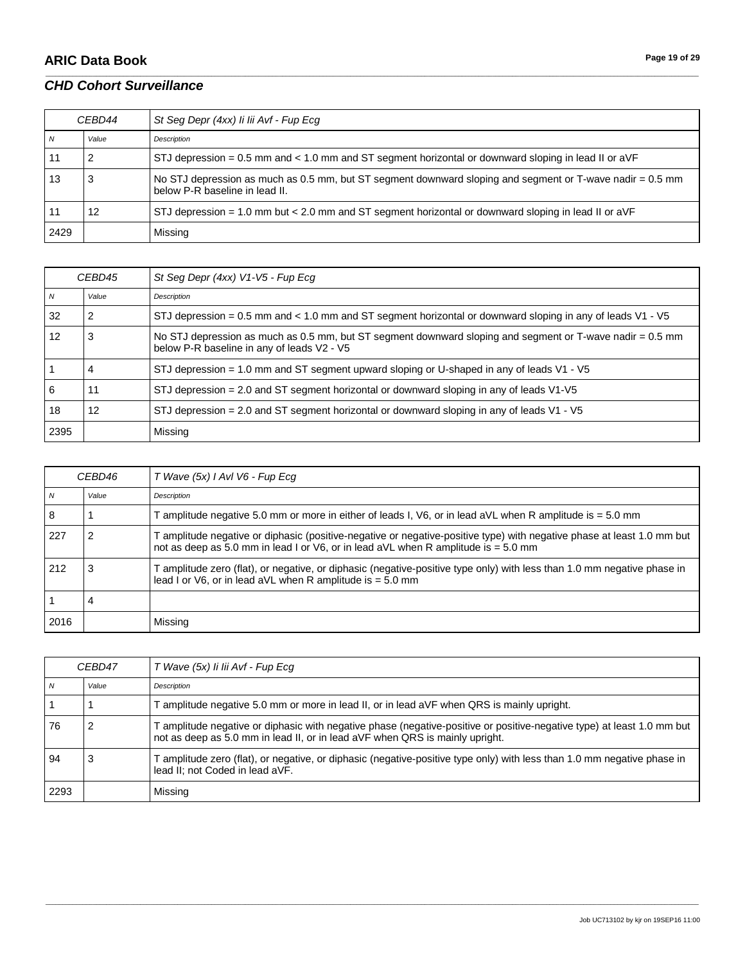# **ARIC Data Book Page 19 of 29**

### *CHD Cohort Surveillance*

| CEBD44         |       | St Seg Depr (4xx) li lii Avf - Fup Ecg                                                                                                      |
|----------------|-------|---------------------------------------------------------------------------------------------------------------------------------------------|
| $\overline{N}$ | Value | Description                                                                                                                                 |
|                |       | STJ depression = 0.5 mm and < 1.0 mm and ST segment horizontal or downward sloping in lead II or aVF                                        |
| -13            | 3     | No STJ depression as much as 0.5 mm, but ST segment downward sloping and segment or T-wave nadir = 0.5 mm<br>below P-R baseline in lead II. |
|                | 12    | STJ depression = 1.0 mm but < 2.0 mm and ST segment horizontal or downward sloping in lead II or $aVF$                                      |
| 2429           |       | Missing                                                                                                                                     |

\_\_\_\_\_\_\_\_\_\_\_\_\_\_\_\_\_\_\_\_\_\_\_\_\_\_\_\_\_\_\_\_\_\_\_\_\_\_\_\_\_\_\_\_\_\_\_\_\_\_\_\_\_\_\_\_\_\_\_\_\_\_\_\_\_\_\_\_\_\_\_\_\_\_\_\_\_\_\_\_\_\_\_\_\_\_\_\_\_\_\_\_\_\_\_\_\_\_\_\_\_\_\_\_\_\_\_\_\_\_\_\_\_\_\_\_\_\_\_\_\_\_\_\_\_\_\_\_\_\_\_\_\_\_\_\_\_\_\_\_\_\_\_\_\_\_\_\_\_\_\_\_\_\_\_\_\_\_\_\_\_\_\_\_\_\_\_\_\_\_\_\_\_\_\_\_\_\_\_\_\_\_\_\_\_\_\_\_\_\_\_\_\_

| CEBD45         |       | St Seg Depr (4xx) V1-V5 - Fup Ecg                                                                                                                       |
|----------------|-------|---------------------------------------------------------------------------------------------------------------------------------------------------------|
| $\overline{N}$ | Value | Description                                                                                                                                             |
| 32             | 2     | STJ depression = 0.5 mm and < 1.0 mm and ST segment horizontal or downward sloping in any of leads $V1 - V5$                                            |
| 12             | 3     | No STJ depression as much as 0.5 mm, but ST segment downward sloping and segment or T-wave nadir = 0.5 mm<br>below P-R baseline in any of leads V2 - V5 |
|                | 4     | STJ depression = 1.0 mm and ST segment upward sloping or U-shaped in any of leads V1 - V5                                                               |
| 6              | 11    | $STJ$ depression = 2.0 and ST segment horizontal or downward sloping in any of leads $V1-V5$                                                            |
| 18             | 12    | STJ depression = 2.0 and ST segment horizontal or downward sloping in any of leads V1 - V5                                                              |
| 2395           |       | Missing                                                                                                                                                 |

| CEBD46 |       | T Wave (5x) I AvI V6 - Fup Ecg                                                                                                                                                                                  |
|--------|-------|-----------------------------------------------------------------------------------------------------------------------------------------------------------------------------------------------------------------|
| N      | Value | Description                                                                                                                                                                                                     |
| 8      |       | T amplitude negative 5.0 mm or more in either of leads I, V6, or in lead aVL when R amplitude is = 5.0 mm                                                                                                       |
| -227   | 2     | T amplitude negative or diphasic (positive-negative or negative-positive type) with negative phase at least 1.0 mm but<br>not as deep as 5.0 mm in lead I or $V6$ , or in lead aVL when R amplitude is = 5.0 mm |
| 212    |       | T amplitude zero (flat), or negative, or diphasic (negative-positive type only) with less than 1.0 mm negative phase in<br>lead I or V6, or in lead aVL when R amplitude is = 5.0 mm                            |
|        | 4     |                                                                                                                                                                                                                 |
| 2016   |       | Missing                                                                                                                                                                                                         |

| <i>CEBD47</i> |       | T Wave (5x) li lii Avf - Fup Ecg                                                                                                                                                                       |
|---------------|-------|--------------------------------------------------------------------------------------------------------------------------------------------------------------------------------------------------------|
|               | Value | Description                                                                                                                                                                                            |
|               |       | T amplitude negative 5.0 mm or more in lead II, or in lead aVF when QRS is mainly upright.                                                                                                             |
| 76            |       | T amplitude negative or diphasic with negative phase (negative-positive or positive-negative type) at least 1.0 mm but<br>not as deep as 5.0 mm in lead II, or in lead aVF when QRS is mainly upright. |
| 94            |       | T amplitude zero (flat), or negative, or diphasic (negative-positive type only) with less than 1.0 mm negative phase in<br>lead II; not Coded in lead aVF.                                             |
| 2293          |       | Missing                                                                                                                                                                                                |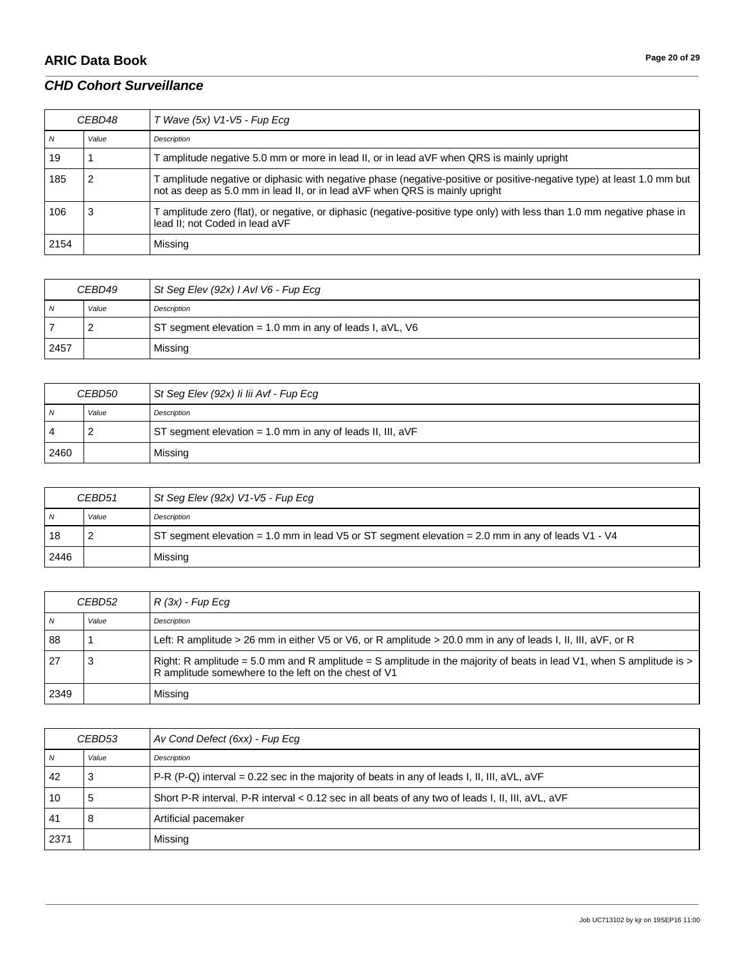# **ARIC Data Book Page 20 of 29**

#### *CHD Cohort Surveillance*

| <i>CEBD48</i> |       | $T$ Wave (5x) V1-V5 - Fup Ecq                                                                                                                                                                         |
|---------------|-------|-------------------------------------------------------------------------------------------------------------------------------------------------------------------------------------------------------|
| N             | Value | Description                                                                                                                                                                                           |
| 19            |       | T amplitude negative 5.0 mm or more in lead II, or in lead aVF when QRS is mainly upright                                                                                                             |
| 185           |       | T amplitude negative or diphasic with negative phase (negative-positive or positive-negative type) at least 1.0 mm but<br>not as deep as 5.0 mm in lead II, or in lead aVF when QRS is mainly upright |
| 106           |       | T amplitude zero (flat), or negative, or diphasic (negative-positive type only) with less than 1.0 mm negative phase in<br>lead II; not Coded in lead aVF                                             |
| 2154          |       | Missing                                                                                                                                                                                               |

\_\_\_\_\_\_\_\_\_\_\_\_\_\_\_\_\_\_\_\_\_\_\_\_\_\_\_\_\_\_\_\_\_\_\_\_\_\_\_\_\_\_\_\_\_\_\_\_\_\_\_\_\_\_\_\_\_\_\_\_\_\_\_\_\_\_\_\_\_\_\_\_\_\_\_\_\_\_\_\_\_\_\_\_\_\_\_\_\_\_\_\_\_\_\_\_\_\_\_\_\_\_\_\_\_\_\_\_\_\_\_\_\_\_\_\_\_\_\_\_\_\_\_\_\_\_\_\_\_\_\_\_\_\_\_\_\_\_\_\_\_\_\_\_\_\_\_\_\_\_\_\_\_\_\_\_\_\_\_\_\_\_\_\_\_\_\_\_\_\_\_\_\_\_\_\_\_\_\_\_\_\_\_\_\_\_\_\_\_\_\_\_\_

| CEBD49         |       | St Seg Elev (92x) I AvI V6 - Fup Ecg                       |
|----------------|-------|------------------------------------------------------------|
| $\overline{N}$ | Value | Description                                                |
|                |       | ST segment elevation = $1.0$ mm in any of leads I, aVL, V6 |
| 2457           |       | Missing                                                    |

| <i>CEBD50</i>  |       | St Seg Elev (92x) li lii Avf - Fup Ecg                     |
|----------------|-------|------------------------------------------------------------|
| $\overline{N}$ | Value | Description                                                |
| $\overline{4}$ |       | ST segment elevation = 1.0 mm in any of leads II, III, aVF |
| 2460           |       | Missing                                                    |

| CEBD51         |       | St Seg Elev (92x) V1-V5 - Fup Ecg                                                                 |
|----------------|-------|---------------------------------------------------------------------------------------------------|
| $\overline{N}$ | Value | Description                                                                                       |
| 18             |       | ST segment elevation = 1.0 mm in lead V5 or ST segment elevation = 2.0 mm in any of leads V1 - V4 |
| 2446           |       | Missing                                                                                           |

| CEBD52 |       | $R(3x)$ - Fup Ecq                                                                                                                                                            |
|--------|-------|------------------------------------------------------------------------------------------------------------------------------------------------------------------------------|
| N      | Value | Description                                                                                                                                                                  |
| 88     |       | Left: R amplitude > 26 mm in either $V5$ or $V6$ , or R amplitude > 20.0 mm in any of leads I, II, III, aVF, or R                                                            |
| l 27   | 3     | Right: R amplitude = 5.0 mm and R amplitude = S amplitude in the majority of beats in lead V1, when S amplitude is ><br>R amplitude somewhere to the left on the chest of V1 |
| 2349   |       | Missing                                                                                                                                                                      |

| CEBD53 |       | Av Cond Defect (6xx) - Fup Ecq                                                                           |
|--------|-------|----------------------------------------------------------------------------------------------------------|
| N      | Value | Description                                                                                              |
| 42     | 3     | P-R (P-Q) interval = 0.22 sec in the majority of beats in any of leads I, II, III, $aVL$ , $aVF$         |
| 10     | 5     | Short P-R interval. P-R interval $< 0.12$ sec in all beats of any two of leads I, II, III, $aVL$ , $aVF$ |
| 41     | 8     | Artificial pacemaker                                                                                     |
| 2371   |       | Missing                                                                                                  |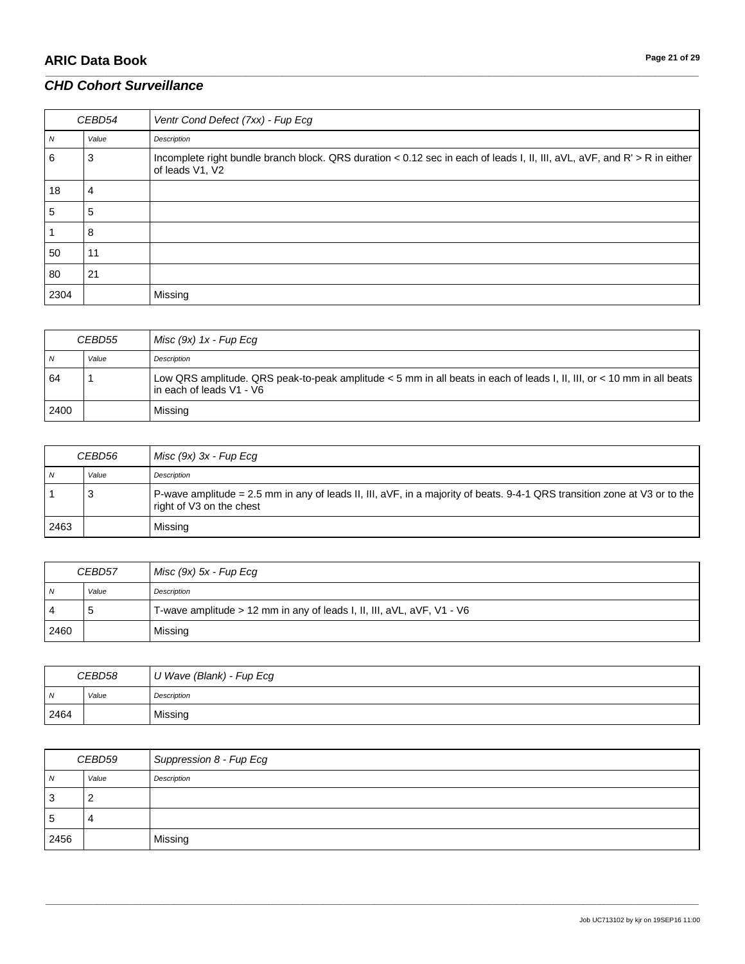# **ARIC Data Book Page 21 of 29**

### *CHD Cohort Surveillance*

| CEBD54         |       | Ventr Cond Defect (7xx) - Fup Ecg                                                                                                            |
|----------------|-------|----------------------------------------------------------------------------------------------------------------------------------------------|
| $\overline{N}$ | Value | Description                                                                                                                                  |
| 6              | 3     | Incomplete right bundle branch block. QRS duration < 0.12 sec in each of leads I, II, III, aVL, aVF, and R' > R in either<br>of leads V1, V2 |
| 18             | 4     |                                                                                                                                              |
| 5              | 5     |                                                                                                                                              |
|                | 8     |                                                                                                                                              |
| 50             | 11    |                                                                                                                                              |
| 80             | 21    |                                                                                                                                              |
| 2304           |       | Missing                                                                                                                                      |

\_\_\_\_\_\_\_\_\_\_\_\_\_\_\_\_\_\_\_\_\_\_\_\_\_\_\_\_\_\_\_\_\_\_\_\_\_\_\_\_\_\_\_\_\_\_\_\_\_\_\_\_\_\_\_\_\_\_\_\_\_\_\_\_\_\_\_\_\_\_\_\_\_\_\_\_\_\_\_\_\_\_\_\_\_\_\_\_\_\_\_\_\_\_\_\_\_\_\_\_\_\_\_\_\_\_\_\_\_\_\_\_\_\_\_\_\_\_\_\_\_\_\_\_\_\_\_\_\_\_\_\_\_\_\_\_\_\_\_\_\_\_\_\_\_\_\_\_\_\_\_\_\_\_\_\_\_\_\_\_\_\_\_\_\_\_\_\_\_\_\_\_\_\_\_\_\_\_\_\_\_\_\_\_\_\_\_\_\_\_\_\_\_

| CEBD55 |       | Misc $(9x)$ 1x - Fup Ecq                                                                                                                           |
|--------|-------|----------------------------------------------------------------------------------------------------------------------------------------------------|
| N      | Value | Description                                                                                                                                        |
| 64     |       | Low QRS amplitude. QRS peak-to-peak amplitude < 5 mm in all beats in each of leads I, II, III, or < 10 mm in all beats<br>in each of leads V1 - V6 |
| 2400   |       | Missing                                                                                                                                            |

| CEBD56 |       | Misc $(9x)$ 3x - Fup Ecq                                                                                                                              |
|--------|-------|-------------------------------------------------------------------------------------------------------------------------------------------------------|
| N      | Value | Description                                                                                                                                           |
|        | - 3   | P-wave amplitude = 2.5 mm in any of leads II, III, aVF, in a majority of beats. 9-4-1 QRS transition zone at V3 or to the<br>right of V3 on the chest |
| 2463   |       | Missing                                                                                                                                               |

| CEBD57         |       | Misc (9x) 5x - Fup Ecg                                                   |
|----------------|-------|--------------------------------------------------------------------------|
| $\overline{N}$ | Value | Description                                                              |
| 4              | ు     | T-wave amplitude $> 12$ mm in any of leads I, II, III, aVL, aVF, V1 - V6 |
| 2460           |       | Missing                                                                  |

| CEBD58 |       | U Wave (Blank) - Fup Ecg |
|--------|-------|--------------------------|
| N      | Value | Description              |
| 2464   |       | Missing                  |

| CEBD59 |       | Suppression 8 - Fup Ecg |
|--------|-------|-------------------------|
| N      | Value | Description             |
| 3      |       |                         |
| .5     |       |                         |
| 2456   |       | Missing                 |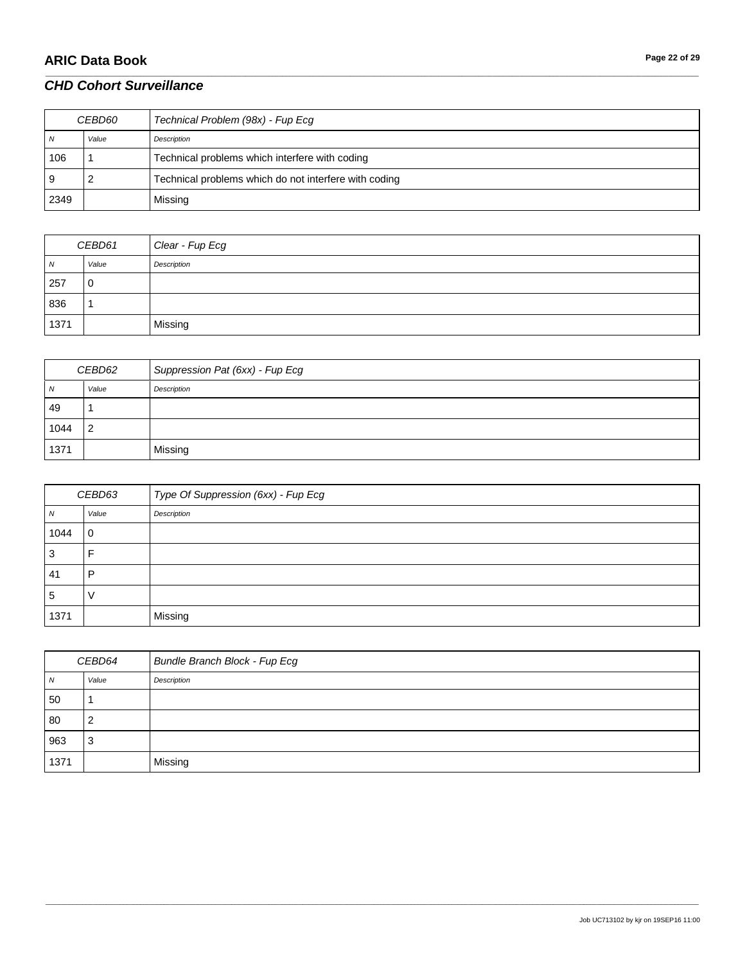# **ARIC Data Book Page 22 of 29**

# *CHD Cohort Surveillance*

| <i>CEBD60</i> |       | Technical Problem (98x) - Fup Ecg                     |
|---------------|-------|-------------------------------------------------------|
| N             | Value | Description                                           |
| 106           |       | Technical problems which interfere with coding        |
| و ،           |       | Technical problems which do not interfere with coding |
| 2349          |       | Missing                                               |

\_\_\_\_\_\_\_\_\_\_\_\_\_\_\_\_\_\_\_\_\_\_\_\_\_\_\_\_\_\_\_\_\_\_\_\_\_\_\_\_\_\_\_\_\_\_\_\_\_\_\_\_\_\_\_\_\_\_\_\_\_\_\_\_\_\_\_\_\_\_\_\_\_\_\_\_\_\_\_\_\_\_\_\_\_\_\_\_\_\_\_\_\_\_\_\_\_\_\_\_\_\_\_\_\_\_\_\_\_\_\_\_\_\_\_\_\_\_\_\_\_\_\_\_\_\_\_\_\_\_\_\_\_\_\_\_\_\_\_\_\_\_\_\_\_\_\_\_\_\_\_\_\_\_\_\_\_\_\_\_\_\_\_\_\_\_\_\_\_\_\_\_\_\_\_\_\_\_\_\_\_\_\_\_\_\_\_\_\_\_\_\_\_

| CEBD61 |       | Clear - Fup Ecg |
|--------|-------|-----------------|
| N      | Value | Description     |
| 257    | 0     |                 |
| 836    |       |                 |
| 1371   |       | Missing         |

| CEBD62 |                | Suppression Pat (6xx) - Fup Ecg |
|--------|----------------|---------------------------------|
| N      | Value          | Description                     |
| 49     |                |                                 |
| 1044   | $\overline{2}$ |                                 |
| 1371   |                | Missing                         |

| CEBD63 |             | Type Of Suppression (6xx) - Fup Ecg |
|--------|-------------|-------------------------------------|
| N      | Value       | Description                         |
| 1044   | $\mathbf 0$ |                                     |
| 3      |             |                                     |
| 41     | D           |                                     |
| 5      |             |                                     |
| 1371   |             | Missing                             |

| CEBD64         |       | <b>Bundle Branch Block - Fup Ecg</b> |
|----------------|-------|--------------------------------------|
| $\overline{N}$ | Value | Description                          |
| 50             |       |                                      |
| 80             | 2     |                                      |
| 963            | 3     |                                      |
| 1371           |       | Missing                              |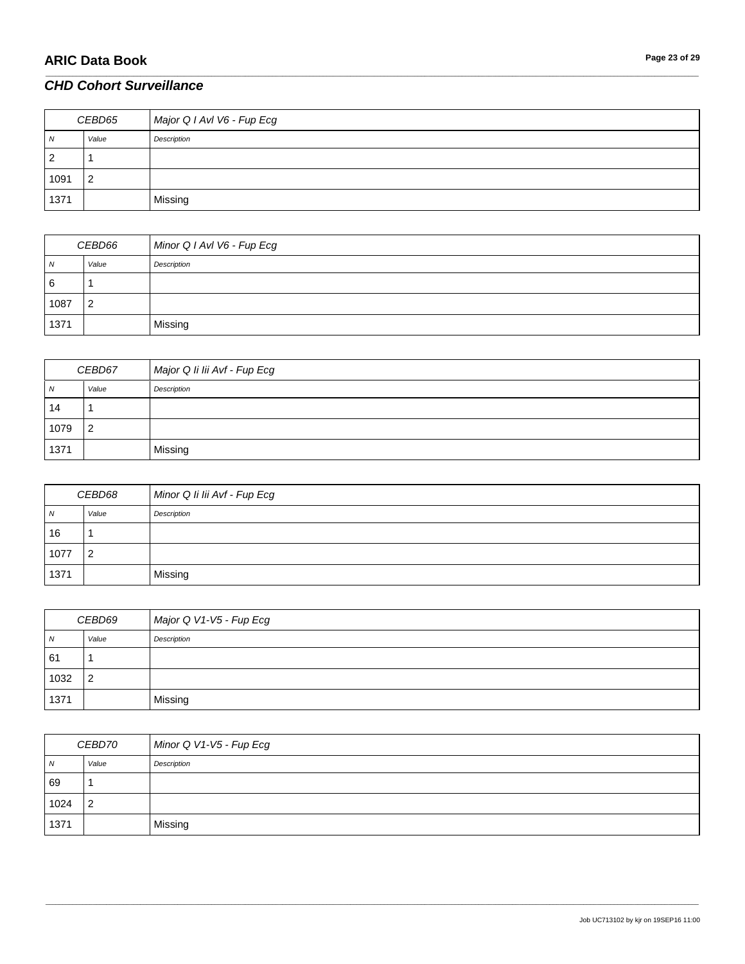| CEBD65         |                | Major Q I AvI V6 - Fup Ecg |
|----------------|----------------|----------------------------|
| $\overline{N}$ | Value          | Description                |
| $\overline{2}$ |                |                            |
| 1091           | $\overline{2}$ |                            |
| 1371           |                | Missing                    |

\_\_\_\_\_\_\_\_\_\_\_\_\_\_\_\_\_\_\_\_\_\_\_\_\_\_\_\_\_\_\_\_\_\_\_\_\_\_\_\_\_\_\_\_\_\_\_\_\_\_\_\_\_\_\_\_\_\_\_\_\_\_\_\_\_\_\_\_\_\_\_\_\_\_\_\_\_\_\_\_\_\_\_\_\_\_\_\_\_\_\_\_\_\_\_\_\_\_\_\_\_\_\_\_\_\_\_\_\_\_\_\_\_\_\_\_\_\_\_\_\_\_\_\_\_\_\_\_\_\_\_\_\_\_\_\_\_\_\_\_\_\_\_\_\_\_\_\_\_\_\_\_\_\_\_\_\_\_\_\_\_\_\_\_\_\_\_\_\_\_\_\_\_\_\_\_\_\_\_\_\_\_\_\_\_\_\_\_\_\_\_\_\_

| CEBD66         |       | Minor Q I AvI V6 - Fup Ecg |
|----------------|-------|----------------------------|
| $\overline{N}$ | Value | Description                |
| 6              |       |                            |
| 1087           | 2     |                            |
| 1371           |       | Missing                    |

| CEBD67 |                | Major Q Ii lii Avf - Fup Ecg |
|--------|----------------|------------------------------|
| N      | Value          | Description                  |
| 14     |                |                              |
| 1079   | $\overline{2}$ |                              |
| 1371   |                | Missing                      |

| CEBD68     |       | Minor Q Ii lii Avf - Fup Ecg |
|------------|-------|------------------------------|
| $\sqrt{N}$ | Value | Description                  |
| 16         |       |                              |
| 1077       | 2     |                              |
| 1371       |       | Missing                      |

| CEBD69 |       | Major Q V1-V5 - Fup Ecg |
|--------|-------|-------------------------|
| N      | Value | Description             |
| 61     |       |                         |
| 1032   | - 2   |                         |
| 1371   |       | Missing                 |

| CEBD70         |                | Minor Q V1-V5 - Fup Ecg |
|----------------|----------------|-------------------------|
| $\overline{M}$ | Value          | Description             |
| 69             |                |                         |
| 1024           | $\overline{2}$ |                         |
| 1371           |                | Missing                 |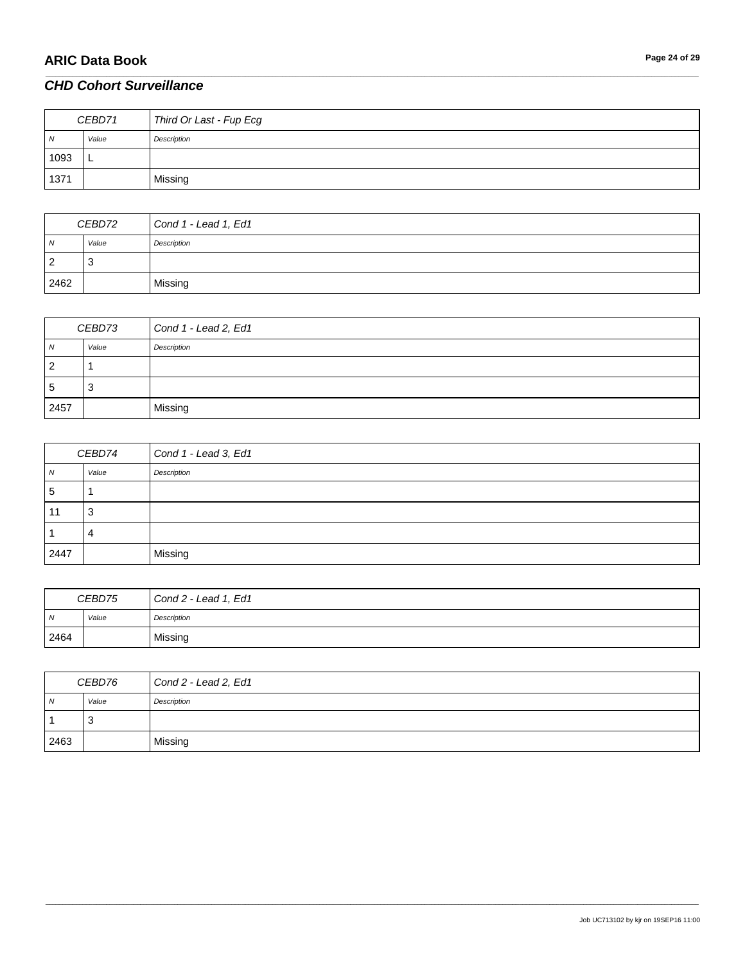| CEBD71         |       | Third Or Last - Fup Ecg |
|----------------|-------|-------------------------|
| $\overline{N}$ | Value | Description             |
| 1093           | ۰     |                         |
| 1371           |       | Missing                 |

\_\_\_\_\_\_\_\_\_\_\_\_\_\_\_\_\_\_\_\_\_\_\_\_\_\_\_\_\_\_\_\_\_\_\_\_\_\_\_\_\_\_\_\_\_\_\_\_\_\_\_\_\_\_\_\_\_\_\_\_\_\_\_\_\_\_\_\_\_\_\_\_\_\_\_\_\_\_\_\_\_\_\_\_\_\_\_\_\_\_\_\_\_\_\_\_\_\_\_\_\_\_\_\_\_\_\_\_\_\_\_\_\_\_\_\_\_\_\_\_\_\_\_\_\_\_\_\_\_\_\_\_\_\_\_\_\_\_\_\_\_\_\_\_\_\_\_\_\_\_\_\_\_\_\_\_\_\_\_\_\_\_\_\_\_\_\_\_\_\_\_\_\_\_\_\_\_\_\_\_\_\_\_\_\_\_\_\_\_\_\_\_\_

| CEBD72 |       | Cond 1 - Lead 1, Ed1 |
|--------|-------|----------------------|
| N      | Value | Description          |
| ◠<br>- | 3     |                      |
| 2462   |       | Missing              |

| CEBD73      |       | Cond 1 - Lead 2, Ed1 |
|-------------|-------|----------------------|
| N           | Value | Description          |
| 2           |       |                      |
| $\mathbf b$ | 3     |                      |
| 2457        |       | Missing              |

| CEBD74         |       | Cond 1 - Lead 3, Ed1 |
|----------------|-------|----------------------|
| $\overline{N}$ | Value | Description          |
| -5             |       |                      |
| 11             | 3     |                      |
|                |       |                      |
| 2447           |       | Missing              |

| CEBD75         |       | Cond 2 - Lead 1, Ed1 |
|----------------|-------|----------------------|
| $\overline{N}$ | Value | Description          |
| 2464           |       | Missing              |

| CEBD76 |       | Cond 2 - Lead 2, Ed1 |
|--------|-------|----------------------|
| N      | Value | Description          |
|        | చ     |                      |
| 2463   |       | Missing              |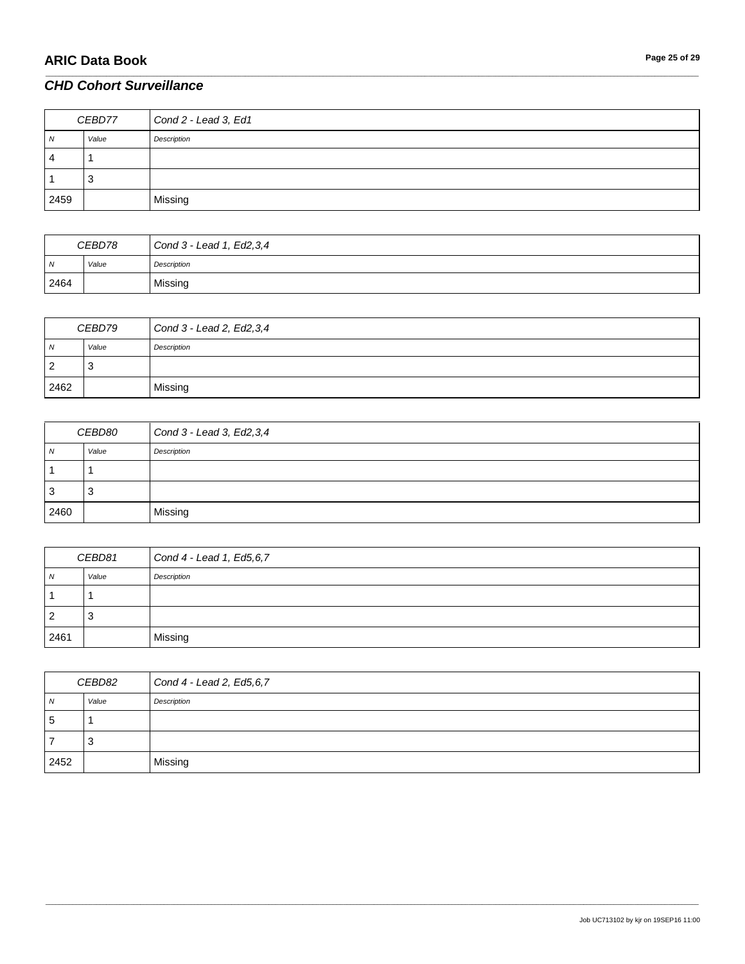| CEBD77 |       | Cond 2 - Lead 3, Ed1 |
|--------|-------|----------------------|
| N      | Value | Description          |
| 4      |       |                      |
|        | J.    |                      |
| 2459   |       | Missing              |

\_\_\_\_\_\_\_\_\_\_\_\_\_\_\_\_\_\_\_\_\_\_\_\_\_\_\_\_\_\_\_\_\_\_\_\_\_\_\_\_\_\_\_\_\_\_\_\_\_\_\_\_\_\_\_\_\_\_\_\_\_\_\_\_\_\_\_\_\_\_\_\_\_\_\_\_\_\_\_\_\_\_\_\_\_\_\_\_\_\_\_\_\_\_\_\_\_\_\_\_\_\_\_\_\_\_\_\_\_\_\_\_\_\_\_\_\_\_\_\_\_\_\_\_\_\_\_\_\_\_\_\_\_\_\_\_\_\_\_\_\_\_\_\_\_\_\_\_\_\_\_\_\_\_\_\_\_\_\_\_\_\_\_\_\_\_\_\_\_\_\_\_\_\_\_\_\_\_\_\_\_\_\_\_\_\_\_\_\_\_\_\_\_

| CEBD78 |       | Cond $3$ - Lead 1, Ed2, 3, 4 |
|--------|-------|------------------------------|
| N      | Value | Description                  |
| 2464   |       | Missing                      |

| CEBD79 |       | Cond $3 -$ Lead 2, Ed2, 3, 4 |
|--------|-------|------------------------------|
| N      | Value | Description                  |
| 2      | 3     |                              |
| 2462   |       | Missing                      |

| <i>CEBD80</i>  |       | Cond 3 - Lead 3, Ed2, 3, 4 |
|----------------|-------|----------------------------|
| $\overline{N}$ | Value | Description                |
|                |       |                            |
| 3              | ڻ     |                            |
| 2460           |       | Missing                    |

| CEBD81 |       | Cond 4 - Lead 1, Ed5, 6, 7 |
|--------|-------|----------------------------|
| N      | Value | Description                |
|        |       |                            |
| 2      | ు     |                            |
| 2461   |       | Missing                    |

| CEBD82         |       | Cond 4 - Lead 2, Ed5,6,7 |
|----------------|-------|--------------------------|
| $\overline{N}$ | Value | Description              |
| -5             |       |                          |
|                | చ     |                          |
| 2452           |       | Missing                  |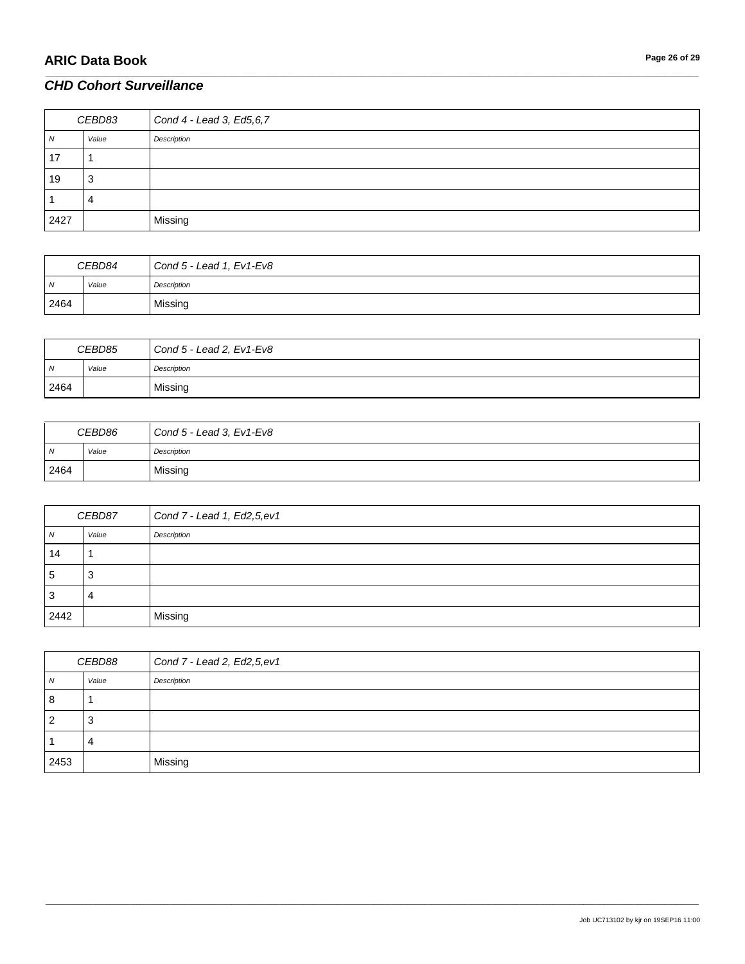# **ARIC Data Book Page 26 of 29**

# *CHD Cohort Surveillance*

| CEBD83 |        | Cond 4 - Lead 3, Ed5, 6, 7 |
|--------|--------|----------------------------|
| 1V     | Value  | Description                |
| 17     |        |                            |
| 19     | ິ<br>ت |                            |
|        |        |                            |
| 2427   |        | Missing                    |

\_\_\_\_\_\_\_\_\_\_\_\_\_\_\_\_\_\_\_\_\_\_\_\_\_\_\_\_\_\_\_\_\_\_\_\_\_\_\_\_\_\_\_\_\_\_\_\_\_\_\_\_\_\_\_\_\_\_\_\_\_\_\_\_\_\_\_\_\_\_\_\_\_\_\_\_\_\_\_\_\_\_\_\_\_\_\_\_\_\_\_\_\_\_\_\_\_\_\_\_\_\_\_\_\_\_\_\_\_\_\_\_\_\_\_\_\_\_\_\_\_\_\_\_\_\_\_\_\_\_\_\_\_\_\_\_\_\_\_\_\_\_\_\_\_\_\_\_\_\_\_\_\_\_\_\_\_\_\_\_\_\_\_\_\_\_\_\_\_\_\_\_\_\_\_\_\_\_\_\_\_\_\_\_\_\_\_\_\_\_\_\_\_

| CEBD84         |       | Cond $5$ - Lead 1, $Ev1$ -Ev $8$ |
|----------------|-------|----------------------------------|
| $\overline{N}$ | Value | Description                      |
| 2464           |       | Missing                          |

| CEBD85         |       | Cond $5$ - Lead 2, $Ev1$ -Ev $8$ |
|----------------|-------|----------------------------------|
| $\overline{M}$ | Value | Description                      |
| 2464           |       | Missing                          |

| CEBD86         |       | Cond $5$ - Lead 3, $Ev1$ -Ev $8$ |
|----------------|-------|----------------------------------|
| $\overline{M}$ | Value | Description                      |
| 2464           |       | Missing                          |

| CEBD87 |       | Cond $7 -$ Lead 1, Ed2, 5, ev1 |
|--------|-------|--------------------------------|
| N      | Value | Description                    |
| 14     |       |                                |
| 5      | 3     |                                |
| 3      |       |                                |
| 2442   |       | Missing                        |

| CEBD88 |                          | Cond $7 -$ Lead 2, Ed2, 5, ev1 |
|--------|--------------------------|--------------------------------|
| N      | Value                    | Description                    |
| 8      |                          |                                |
| 2      | C,                       |                                |
|        | $\overline{\phantom{a}}$ |                                |
| 2453   |                          | Missing                        |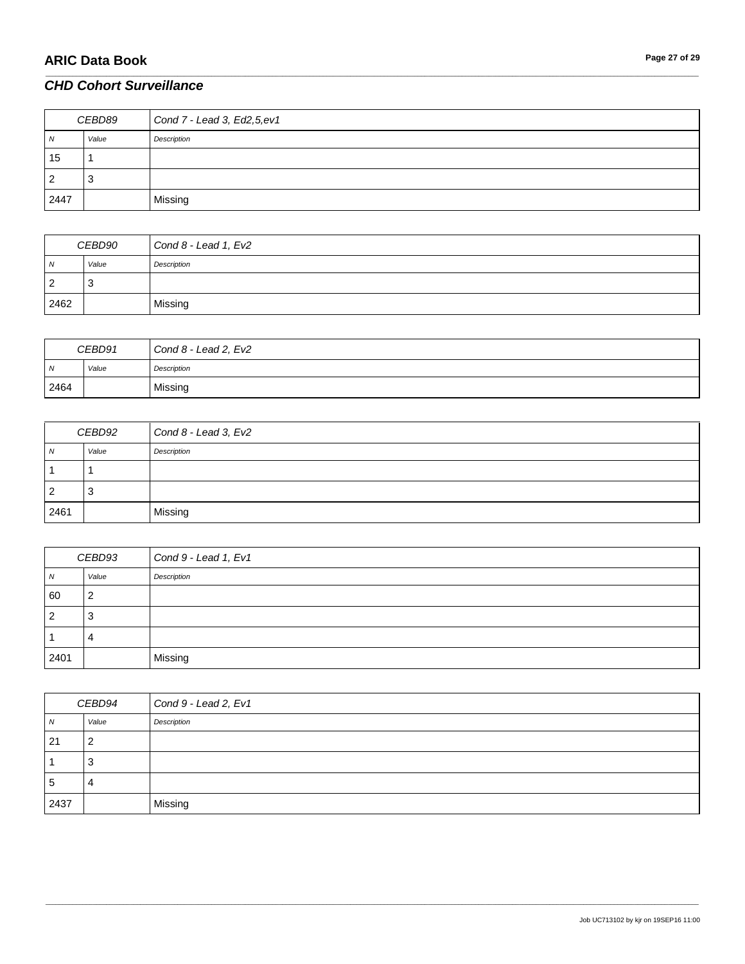| CEBD89         |       | Cond 7 - Lead 3, Ed2, 5, ev1 |
|----------------|-------|------------------------------|
| N              | Value | Description                  |
| 15             |       |                              |
| $\overline{2}$ | đ     |                              |
| 2447           |       | Missing                      |

\_\_\_\_\_\_\_\_\_\_\_\_\_\_\_\_\_\_\_\_\_\_\_\_\_\_\_\_\_\_\_\_\_\_\_\_\_\_\_\_\_\_\_\_\_\_\_\_\_\_\_\_\_\_\_\_\_\_\_\_\_\_\_\_\_\_\_\_\_\_\_\_\_\_\_\_\_\_\_\_\_\_\_\_\_\_\_\_\_\_\_\_\_\_\_\_\_\_\_\_\_\_\_\_\_\_\_\_\_\_\_\_\_\_\_\_\_\_\_\_\_\_\_\_\_\_\_\_\_\_\_\_\_\_\_\_\_\_\_\_\_\_\_\_\_\_\_\_\_\_\_\_\_\_\_\_\_\_\_\_\_\_\_\_\_\_\_\_\_\_\_\_\_\_\_\_\_\_\_\_\_\_\_\_\_\_\_\_\_\_\_\_\_

| CEBD90 |           | Cond 8 - Lead 1, Ev2 |
|--------|-----------|----------------------|
| N      | Value     | Description          |
| 2      | - 2<br>د. |                      |
| 2462   |           | Missing              |

| CEBD91         |       | Cond $8$ - Lead 2, $Ev2$ |
|----------------|-------|--------------------------|
| $\overline{M}$ | Value | Description              |
| 2464           |       | Missing                  |

| CEBD92         |       | Cond $8$ - Lead 3, Ev2 |
|----------------|-------|------------------------|
| N              | Value | Description            |
|                |       |                        |
| $\overline{2}$ | 3     |                        |
| 2461           |       | Missing                |

| CEBD93         |       | Cond 9 - Lead 1, Ev1 |
|----------------|-------|----------------------|
| $\overline{N}$ | Value | Description          |
| 60             | 2     |                      |
| $\overline{2}$ | -3    |                      |
|                | 4     |                      |
| 2401           |       | Missing              |

| CEBD94      |       | Cond 9 - Lead 2, Ev1 |
|-------------|-------|----------------------|
| N           | Value | Description          |
| -21         | 2     |                      |
|             | J     |                      |
| $\mathbf b$ | 4     |                      |
| 2437        |       | Missing              |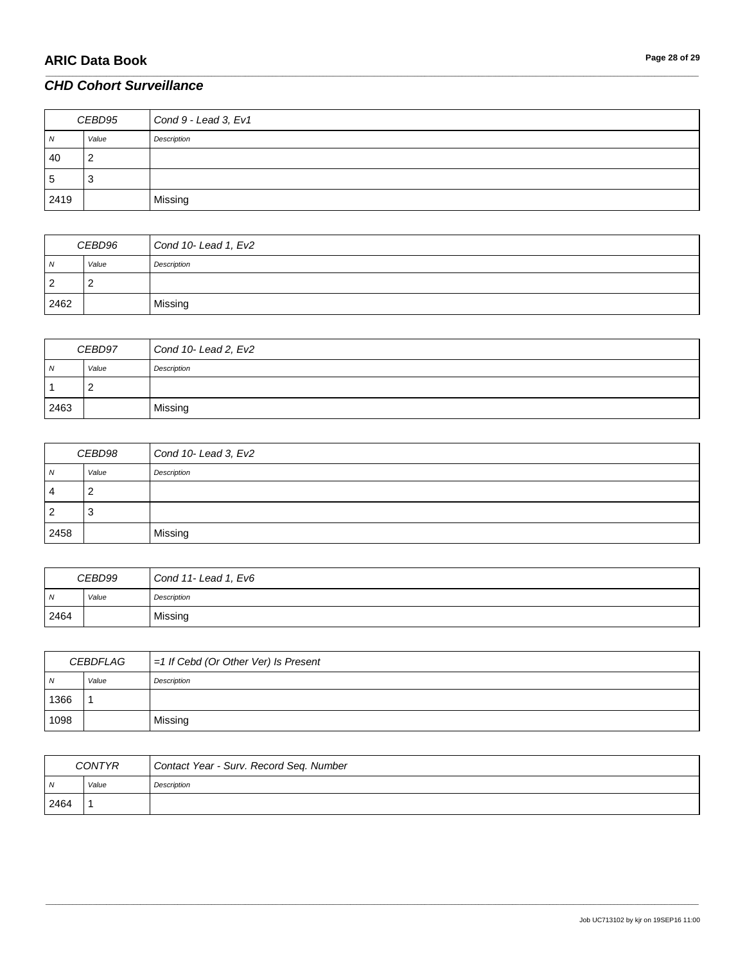| CEBD95 |       | Cond 9 - Lead 3, Ev1 |
|--------|-------|----------------------|
| N      | Value | Description          |
| 40     |       |                      |
| 5      | ۰J    |                      |
| 2419   |       | Missing              |

\_\_\_\_\_\_\_\_\_\_\_\_\_\_\_\_\_\_\_\_\_\_\_\_\_\_\_\_\_\_\_\_\_\_\_\_\_\_\_\_\_\_\_\_\_\_\_\_\_\_\_\_\_\_\_\_\_\_\_\_\_\_\_\_\_\_\_\_\_\_\_\_\_\_\_\_\_\_\_\_\_\_\_\_\_\_\_\_\_\_\_\_\_\_\_\_\_\_\_\_\_\_\_\_\_\_\_\_\_\_\_\_\_\_\_\_\_\_\_\_\_\_\_\_\_\_\_\_\_\_\_\_\_\_\_\_\_\_\_\_\_\_\_\_\_\_\_\_\_\_\_\_\_\_\_\_\_\_\_\_\_\_\_\_\_\_\_\_\_\_\_\_\_\_\_\_\_\_\_\_\_\_\_\_\_\_\_\_\_\_\_\_\_

| CEBD96 |       | Cond 10-Lead 1, Ev2 |
|--------|-------|---------------------|
| N      | Value | Description         |
| 2      | ∠     |                     |
| 2462   |       | Missing             |

| CEBD97 |       | Cond 10-Lead 2, Ev2 |
|--------|-------|---------------------|
| N      | Value | Description         |
|        | _     |                     |
| 2463   |       | Missing             |

| CEBD98         |       | Cond 10- Lead 3, Ev2 |
|----------------|-------|----------------------|
| $\overline{M}$ | Value | Description          |
| 4              |       |                      |
| $\overline{2}$ | ు     |                      |
| 2458           |       | Missing              |

| CEBD99     |       | Cond 11- Lead 1, Ev6 |
|------------|-------|----------------------|
| $\sqrt{N}$ | Value | Description          |
| 2464       |       | Missing              |

| CEBDFLAG       |       | $=1$ If Cebd (Or Other Ver) Is Present |
|----------------|-------|----------------------------------------|
| $\overline{N}$ | Value | Description                            |
| 1366           |       |                                        |
| 1098           |       | Missing                                |

| <b>CONTYR</b> |       | Contact Year - Surv. Record Seq. Number |
|---------------|-------|-----------------------------------------|
| N             | Value | Description                             |
| 2464          |       |                                         |